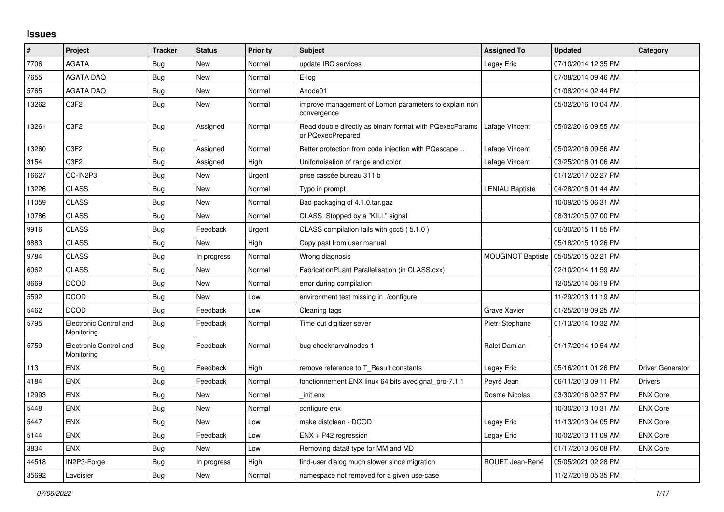## **Issues**

| #     | Project                              | <b>Tracker</b> | <b>Status</b> | <b>Priority</b> | <b>Subject</b>                                                               | <b>Assigned To</b>       | <b>Updated</b>      | Category                |
|-------|--------------------------------------|----------------|---------------|-----------------|------------------------------------------------------------------------------|--------------------------|---------------------|-------------------------|
| 7706  | <b>AGATA</b>                         | <b>Bug</b>     | <b>New</b>    | Normal          | update IRC services                                                          | Legay Eric               | 07/10/2014 12:35 PM |                         |
| 7655  | <b>AGATA DAQ</b>                     | <b>Bug</b>     | <b>New</b>    | Normal          | E-log                                                                        |                          | 07/08/2014 09:46 AM |                         |
| 5765  | AGATA DAQ                            | Bug            | New           | Normal          | Anode01                                                                      |                          | 01/08/2014 02:44 PM |                         |
| 13262 | C <sub>3</sub> F <sub>2</sub>        | <b>Bug</b>     | <b>New</b>    | Normal          | improve management of Lomon parameters to explain non<br>convergence         |                          | 05/02/2016 10:04 AM |                         |
| 13261 | C <sub>3</sub> F <sub>2</sub>        | <b>Bug</b>     | Assigned      | Normal          | Read double directly as binary format with PQexecParams<br>or PQexecPrepared | Lafage Vincent           | 05/02/2016 09:55 AM |                         |
| 13260 | C <sub>3F2</sub>                     | <b>Bug</b>     | Assigned      | Normal          | Better protection from code injection with PQescape                          | Lafage Vincent           | 05/02/2016 09:56 AM |                         |
| 3154  | C3F2                                 | <b>Bug</b>     | Assigned      | High            | Uniformisation of range and color                                            | Lafage Vincent           | 03/25/2016 01:06 AM |                         |
| 16627 | CC-IN2P3                             | <b>Bug</b>     | <b>New</b>    | Urgent          | prise cassée bureau 311 b                                                    |                          | 01/12/2017 02:27 PM |                         |
| 13226 | <b>CLASS</b>                         | Bug            | <b>New</b>    | Normal          | Typo in prompt                                                               | <b>LENIAU Baptiste</b>   | 04/28/2016 01:44 AM |                         |
| 11059 | <b>CLASS</b>                         | <b>Bug</b>     | New           | Normal          | Bad packaging of 4.1.0.tar.gaz                                               |                          | 10/09/2015 06:31 AM |                         |
| 10786 | <b>CLASS</b>                         | <b>Bug</b>     | New           | Normal          | CLASS Stopped by a "KILL" signal                                             |                          | 08/31/2015 07:00 PM |                         |
| 9916  | <b>CLASS</b>                         | <b>Bug</b>     | Feedback      | Urgent          | CLASS compilation fails with gcc5 (5.1.0)                                    |                          | 06/30/2015 11:55 PM |                         |
| 9883  | <b>CLASS</b>                         | <b>Bug</b>     | New           | High            | Copy past from user manual                                                   |                          | 05/18/2015 10:26 PM |                         |
| 9784  | <b>CLASS</b>                         | <b>Bug</b>     | In progress   | Normal          | Wrong diagnosis                                                              | <b>MOUGINOT Baptiste</b> | 05/05/2015 02:21 PM |                         |
| 6062  | <b>CLASS</b>                         | <b>Bug</b>     | New           | Normal          | FabricationPLant Parallelisation (in CLASS.cxx)                              |                          | 02/10/2014 11:59 AM |                         |
| 8669  | <b>DCOD</b>                          | Bug            | <b>New</b>    | Normal          | error during compilation                                                     |                          | 12/05/2014 06:19 PM |                         |
| 5592  | <b>DCOD</b>                          | <b>Bug</b>     | New           | Low             | environment test missing in ./configure                                      |                          | 11/29/2013 11:19 AM |                         |
| 5462  | <b>DCOD</b>                          | <b>Bug</b>     | Feedback      | Low             | Cleaning tags                                                                | Grave Xavier             | 01/25/2018 09:25 AM |                         |
| 5795  | Electronic Control and<br>Monitoring | Bug            | Feedback      | Normal          | Time out digitizer sever                                                     | Pietri Stephane          | 01/13/2014 10:32 AM |                         |
| 5759  | Electronic Control and<br>Monitoring | <b>Bug</b>     | Feedback      | Normal          | bug checknarvalnodes 1                                                       | Ralet Damian             | 01/17/2014 10:54 AM |                         |
| 113   | <b>ENX</b>                           | <b>Bug</b>     | Feedback      | High            | remove reference to T_Result constants                                       | Legay Eric               | 05/16/2011 01:26 PM | <b>Driver Generator</b> |
| 4184  | <b>ENX</b>                           | <b>Bug</b>     | Feedback      | Normal          | fonctionnement ENX linux 64 bits avec gnat_pro-7.1.1                         | Peyré Jean               | 06/11/2013 09:11 PM | <b>Drivers</b>          |
| 12993 | <b>ENX</b>                           | Bug            | New           | Normal          | init.enx                                                                     | Dosme Nicolas            | 03/30/2016 02:37 PM | <b>ENX Core</b>         |
| 5448  | <b>ENX</b>                           | <b>Bug</b>     | <b>New</b>    | Normal          | configure enx                                                                |                          | 10/30/2013 10:31 AM | <b>ENX Core</b>         |
| 5447  | <b>ENX</b>                           | <b>Bug</b>     | <b>New</b>    | Low             | make distclean - DCOD                                                        | Legay Eric               | 11/13/2013 04:05 PM | <b>ENX Core</b>         |
| 5144  | <b>ENX</b>                           | Bug            | Feedback      | Low             | $ENX + P42$ regression                                                       | Legay Eric               | 10/02/2013 11:09 AM | <b>ENX Core</b>         |
| 3834  | <b>ENX</b>                           | Bug            | New           | Low             | Removing data8 type for MM and MD                                            |                          | 01/17/2013 06:08 PM | <b>ENX Core</b>         |
| 44518 | IN2P3-Forge                          | <b>Bug</b>     | In progress   | High            | find-user dialog much slower since migration                                 | ROUET Jean-René          | 05/05/2021 02:28 PM |                         |
| 35692 | Lavoisier                            | <b>Bug</b>     | New           | Normal          | namespace not removed for a given use-case                                   |                          | 11/27/2018 05:35 PM |                         |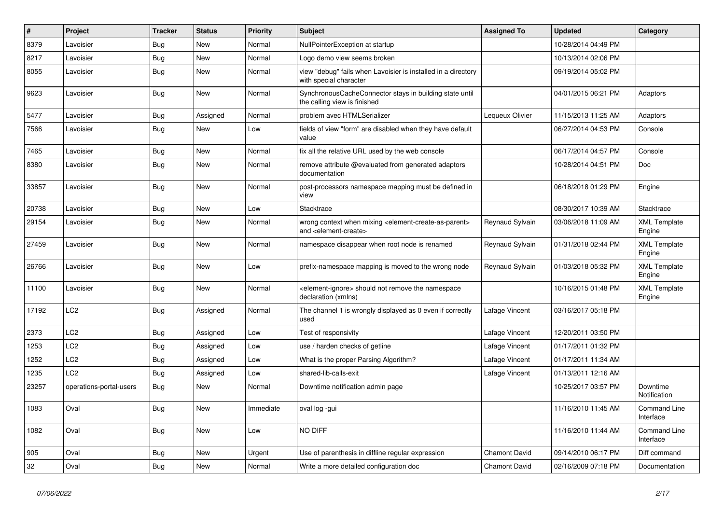| $\vert$ # | <b>Project</b>          | <b>Tracker</b> | <b>Status</b> | <b>Priority</b> | <b>Subject</b>                                                                                                            | <b>Assigned To</b>   | <b>Updated</b>      | Category                         |
|-----------|-------------------------|----------------|---------------|-----------------|---------------------------------------------------------------------------------------------------------------------------|----------------------|---------------------|----------------------------------|
| 8379      | Lavoisier               | <b>Bug</b>     | New           | Normal          | NullPointerException at startup                                                                                           |                      | 10/28/2014 04:49 PM |                                  |
| 8217      | Lavoisier               | Bug            | <b>New</b>    | Normal          | Logo demo view seems broken                                                                                               |                      | 10/13/2014 02:06 PM |                                  |
| 8055      | Lavoisier               | Bug            | New           | Normal          | view "debug" fails when Lavoisier is installed in a directory<br>with special character                                   |                      | 09/19/2014 05:02 PM |                                  |
| 9623      | Lavoisier               | <b>Bug</b>     | New           | Normal          | SynchronousCacheConnector stays in building state until<br>the calling view is finished                                   |                      | 04/01/2015 06:21 PM | Adaptors                         |
| 5477      | Lavoisier               | <b>Bug</b>     | Assigned      | Normal          | problem avec HTMLSerializer                                                                                               | Lequeux Olivier      | 11/15/2013 11:25 AM | Adaptors                         |
| 7566      | Lavoisier               | <b>Bug</b>     | New           | Low             | fields of view "form" are disabled when they have default<br>value                                                        |                      | 06/27/2014 04:53 PM | Console                          |
| 7465      | Lavoisier               | <b>Bug</b>     | New           | Normal          | fix all the relative URL used by the web console                                                                          |                      | 06/17/2014 04:57 PM | Console                          |
| 8380      | Lavoisier               | <b>Bug</b>     | New           | Normal          | remove attribute @evaluated from generated adaptors<br>documentation                                                      |                      | 10/28/2014 04:51 PM | <b>Doc</b>                       |
| 33857     | Lavoisier               | <b>Bug</b>     | <b>New</b>    | Normal          | post-processors namespace mapping must be defined in<br>view                                                              |                      | 06/18/2018 01:29 PM | Engine                           |
| 20738     | Lavoisier               | Bug            | <b>New</b>    | Low             | <b>Stacktrace</b>                                                                                                         |                      | 08/30/2017 10:39 AM | Stacktrace                       |
| 29154     | Lavoisier               | <b>Bug</b>     | New           | Normal          | wrong context when mixing <element-create-as-parent><br/>and <element-create></element-create></element-create-as-parent> | Reynaud Sylvain      | 03/06/2018 11:09 AM | <b>XML Template</b><br>Engine    |
| 27459     | Lavoisier               | <b>Bug</b>     | New           | Normal          | namespace disappear when root node is renamed                                                                             | Reynaud Sylvain      | 01/31/2018 02:44 PM | <b>XML Template</b><br>Engine    |
| 26766     | Lavoisier               | Bug            | <b>New</b>    | Low             | prefix-namespace mapping is moved to the wrong node                                                                       | Reynaud Sylvain      | 01/03/2018 05:32 PM | <b>XML Template</b><br>Engine    |
| 11100     | Lavoisier               | <b>Bug</b>     | <b>New</b>    | Normal          | <element-ignore> should not remove the namespace<br/>declaration (xmlns)</element-ignore>                                 |                      | 10/16/2015 01:48 PM | <b>XML Template</b><br>Engine    |
| 17192     | LC <sub>2</sub>         | <b>Bug</b>     | Assigned      | Normal          | The channel 1 is wrongly displayed as 0 even if correctly<br>used                                                         | Lafage Vincent       | 03/16/2017 05:18 PM |                                  |
| 2373      | LC <sub>2</sub>         | Bug            | Assigned      | Low             | Test of responsivity                                                                                                      | Lafage Vincent       | 12/20/2011 03:50 PM |                                  |
| 1253      | LC <sub>2</sub>         | Bug            | Assigned      | Low             | use / harden checks of getline                                                                                            | Lafage Vincent       | 01/17/2011 01:32 PM |                                  |
| 1252      | LC <sub>2</sub>         | <b>Bug</b>     | Assigned      | Low             | What is the proper Parsing Algorithm?                                                                                     | Lafage Vincent       | 01/17/2011 11:34 AM |                                  |
| 1235      | LC2                     | <b>Bug</b>     | Assigned      | Low             | shared-lib-calls-exit                                                                                                     | Lafage Vincent       | 01/13/2011 12:16 AM |                                  |
| 23257     | operations-portal-users | <b>Bug</b>     | New           | Normal          | Downtime notification admin page                                                                                          |                      | 10/25/2017 03:57 PM | Downtime<br>Notification         |
| 1083      | Oval                    | <b>Bug</b>     | <b>New</b>    | Immediate       | oval log -gui                                                                                                             |                      | 11/16/2010 11:45 AM | <b>Command Line</b><br>Interface |
| 1082      | Oval                    | Bug            | New           | Low             | NO DIFF                                                                                                                   |                      | 11/16/2010 11:44 AM | Command Line<br>Interface        |
| 905       | Oval                    | <b>Bug</b>     | New           | Urgent          | Use of parenthesis in diffline regular expression                                                                         | <b>Chamont David</b> | 09/14/2010 06:17 PM | Diff command                     |
| 32        | Oval                    | <b>Bug</b>     | New           | Normal          | Write a more detailed configuration doc                                                                                   | <b>Chamont David</b> | 02/16/2009 07:18 PM | Documentation                    |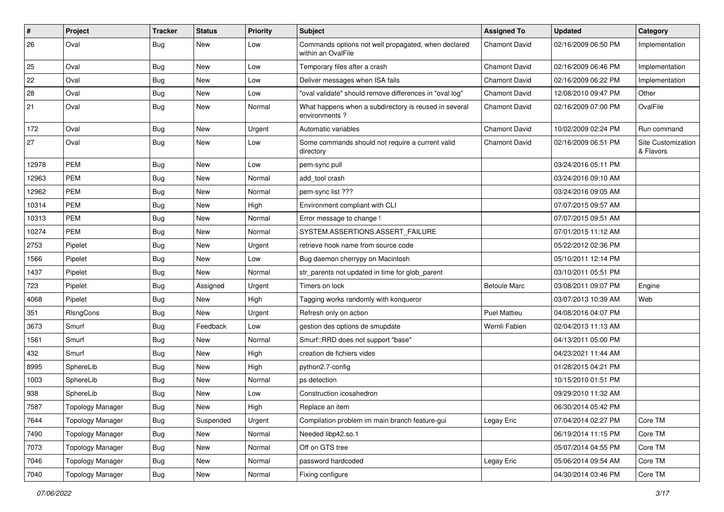| #     | Project                 | <b>Tracker</b> | <b>Status</b> | <b>Priority</b> | <b>Subject</b>                                                            | <b>Assigned To</b>   | <b>Updated</b>      | Category                        |
|-------|-------------------------|----------------|---------------|-----------------|---------------------------------------------------------------------------|----------------------|---------------------|---------------------------------|
| 26    | Oval                    | Bug            | New           | Low             | Commands options not well propagated, when declared<br>within an OvalFile | <b>Chamont David</b> | 02/16/2009 06:50 PM | Implementation                  |
| 25    | Oval                    | <b>Bug</b>     | <b>New</b>    | Low             | Temporary files after a crash                                             | <b>Chamont David</b> | 02/16/2009 06:46 PM | Implementation                  |
| 22    | Oval                    | <b>Bug</b>     | New           | Low             | Deliver messages when ISA fails                                           | <b>Chamont David</b> | 02/16/2009 06:22 PM | Implementation                  |
| 28    | Oval                    | <b>Bug</b>     | New           | Low             | "oval validate" should remove differences in "oval log"                   | <b>Chamont David</b> | 12/08/2010 09:47 PM | Other                           |
| 21    | Oval                    | Bug            | <b>New</b>    | Normal          | What happens when a subdirectory is reused in several<br>environments?    | <b>Chamont David</b> | 02/16/2009 07:00 PM | OvalFile                        |
| 172   | Oval                    | <b>Bug</b>     | New           | Urgent          | Automatic variables                                                       | <b>Chamont David</b> | 10/02/2009 02:24 PM | Run command                     |
| 27    | Oval                    | <b>Bug</b>     | <b>New</b>    | Low             | Some commands should not require a current valid<br>directory             | <b>Chamont David</b> | 02/16/2009 06:51 PM | Site Customization<br>& Flavors |
| 12978 | <b>PEM</b>              | <b>Bug</b>     | <b>New</b>    | Low             | pem-sync pull                                                             |                      | 03/24/2016 05:11 PM |                                 |
| 12963 | <b>PEM</b>              | <b>Bug</b>     | <b>New</b>    | Normal          | add tool crash                                                            |                      | 03/24/2016 09:10 AM |                                 |
| 12962 | <b>PEM</b>              | <b>Bug</b>     | New           | Normal          | pem-sync list ???                                                         |                      | 03/24/2016 09:05 AM |                                 |
| 10314 | <b>PEM</b>              | <b>Bug</b>     | New           | High            | Environment compliant with CLI                                            |                      | 07/07/2015 09:57 AM |                                 |
| 10313 | <b>PEM</b>              | <b>Bug</b>     | <b>New</b>    | Normal          | Error message to change !                                                 |                      | 07/07/2015 09:51 AM |                                 |
| 10274 | <b>PEM</b>              | <b>Bug</b>     | <b>New</b>    | Normal          | SYSTEM.ASSERTIONS.ASSERT_FAILURE                                          |                      | 07/01/2015 11:12 AM |                                 |
| 2753  | Pipelet                 | Bug            | New           | Urgent          | retrieve hook name from source code                                       |                      | 05/22/2012 02:36 PM |                                 |
| 1566  | Pipelet                 | <b>Bug</b>     | New           | Low             | Bug daemon cherrypy on Macintosh                                          |                      | 05/10/2011 12:14 PM |                                 |
| 1437  | Pipelet                 | Bug            | New           | Normal          | str_parents not updated in time for glob_parent                           |                      | 03/10/2011 05:51 PM |                                 |
| 723   | Pipelet                 | <b>Bug</b>     | Assigned      | Urgent          | Timers on lock                                                            | <b>Betoule Marc</b>  | 03/08/2011 09:07 PM | Engine                          |
| 4068  | Pipelet                 | <b>Bug</b>     | New           | High            | Tagging works randomly with konqueror                                     |                      | 03/07/2013 10:39 AM | Web                             |
| 351   | RIsngCons               | <b>Bug</b>     | <b>New</b>    | Urgent          | Refresh only on action                                                    | <b>Puel Mattieu</b>  | 04/08/2016 04:07 PM |                                 |
| 3673  | Smurf                   | <b>Bug</b>     | Feedback      | Low             | gestion des options de smupdate                                           | Wernli Fabien        | 02/04/2013 11:13 AM |                                 |
| 1561  | Smurf                   | <b>Bug</b>     | <b>New</b>    | Normal          | Smurf::RRD does not support "base"                                        |                      | 04/13/2011 05:00 PM |                                 |
| 432   | Smurf                   | <b>Bug</b>     | <b>New</b>    | High            | creation de fichiers vides                                                |                      | 04/23/2021 11:44 AM |                                 |
| 8995  | SphereLib               | <b>Bug</b>     | New           | High            | python2.7-config                                                          |                      | 01/28/2015 04:21 PM |                                 |
| 1003  | SphereLib               | <b>Bug</b>     | <b>New</b>    | Normal          | ps detection                                                              |                      | 10/15/2010 01:51 PM |                                 |
| 938   | SphereLib               | Bug            | <b>New</b>    | Low             | Construction icosahedron                                                  |                      | 09/29/2010 11:32 AM |                                 |
| 7587  | Topology Manager        | Bug            | New           | High            | Replace an item                                                           |                      | 06/30/2014 05:42 PM |                                 |
| 7644  | <b>Topology Manager</b> | <b>Bug</b>     | Suspended     | Urgent          | Compilation problem im main branch feature-gui                            | Legay Eric           | 07/04/2014 02:27 PM | Core TM                         |
| 7490  | <b>Topology Manager</b> | <b>Bug</b>     | New           | Normal          | Needed libp42.so.1                                                        |                      | 06/19/2014 11:15 PM | Core TM                         |
| 7073  | <b>Topology Manager</b> | Bug            | New           | Normal          | Off on GTS tree                                                           |                      | 05/07/2014 04:55 PM | Core TM                         |
| 7046  | <b>Topology Manager</b> | <b>Bug</b>     | New           | Normal          | password hardcoded                                                        | Legay Eric           | 05/06/2014 09:54 AM | Core TM                         |
| 7040  | <b>Topology Manager</b> | Bug            | New           | Normal          | Fixing configure                                                          |                      | 04/30/2014 03:46 PM | Core TM                         |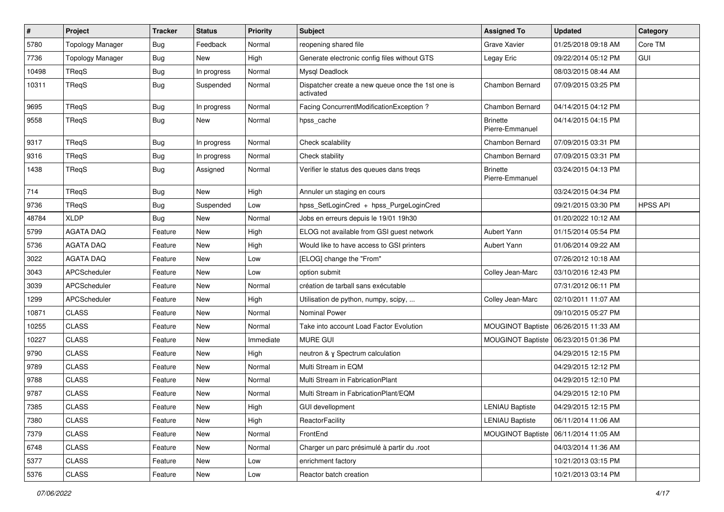| $\vert$ # | Project                 | <b>Tracker</b> | <b>Status</b> | <b>Priority</b> | <b>Subject</b>                                                 | <b>Assigned To</b>                 | <b>Updated</b>      | Category        |
|-----------|-------------------------|----------------|---------------|-----------------|----------------------------------------------------------------|------------------------------------|---------------------|-----------------|
| 5780      | <b>Topology Manager</b> | <b>Bug</b>     | Feedback      | Normal          | reopening shared file                                          | Grave Xavier                       | 01/25/2018 09:18 AM | Core TM         |
| 7736      | <b>Topology Manager</b> | Bug            | New           | High            | Generate electronic config files without GTS                   | Legay Eric                         | 09/22/2014 05:12 PM | GUI             |
| 10498     | TReqS                   | <b>Bug</b>     | In progress   | Normal          | <b>Mysgl Deadlock</b>                                          |                                    | 08/03/2015 08:44 AM |                 |
| 10311     | TReqS                   | <b>Bug</b>     | Suspended     | Normal          | Dispatcher create a new queue once the 1st one is<br>activated | Chambon Bernard                    | 07/09/2015 03:25 PM |                 |
| 9695      | TReqS                   | <b>Bug</b>     | In progress   | Normal          | Facing ConcurrentModificationException ?                       | Chambon Bernard                    | 04/14/2015 04:12 PM |                 |
| 9558      | TReqS                   | <b>Bug</b>     | New           | Normal          | hpss_cache                                                     | <b>Brinette</b><br>Pierre-Emmanuel | 04/14/2015 04:15 PM |                 |
| 9317      | TReqS                   | <b>Bug</b>     | In progress   | Normal          | Check scalability                                              | Chambon Bernard                    | 07/09/2015 03:31 PM |                 |
| 9316      | TReqS                   | <b>Bug</b>     | In progress   | Normal          | Check stability                                                | Chambon Bernard                    | 07/09/2015 03:31 PM |                 |
| 1438      | TReqS                   | Bug            | Assigned      | Normal          | Verifier le status des queues dans treqs                       | <b>Brinette</b><br>Pierre-Emmanuel | 03/24/2015 04:13 PM |                 |
| 714       | TReqS                   | <b>Bug</b>     | <b>New</b>    | High            | Annuler un staging en cours                                    |                                    | 03/24/2015 04:34 PM |                 |
| 9736      | TReqS                   | <b>Bug</b>     | Suspended     | Low             | hpss_SetLoginCred + hpss_PurgeLoginCred                        |                                    | 09/21/2015 03:30 PM | <b>HPSS API</b> |
| 48784     | <b>XLDP</b>             | <b>Bug</b>     | New           | Normal          | Jobs en erreurs depuis le 19/01 19h30                          |                                    | 01/20/2022 10:12 AM |                 |
| 5799      | <b>AGATA DAQ</b>        | Feature        | New           | High            | ELOG not available from GSI guest network                      | Aubert Yann                        | 01/15/2014 05:54 PM |                 |
| 5736      | <b>AGATA DAQ</b>        | Feature        | New           | High            | Would like to have access to GSI printers                      | Aubert Yann                        | 01/06/2014 09:22 AM |                 |
| 3022      | <b>AGATA DAQ</b>        | Feature        | New           | Low             | [ELOG] change the "From"                                       |                                    | 07/26/2012 10:18 AM |                 |
| 3043      | APCScheduler            | Feature        | New           | Low             | option submit                                                  | Colley Jean-Marc                   | 03/10/2016 12:43 PM |                 |
| 3039      | APCScheduler            | Feature        | New           | Normal          | création de tarball sans exécutable                            |                                    | 07/31/2012 06:11 PM |                 |
| 1299      | APCScheduler            | Feature        | New           | High            | Utilisation de python, numpy, scipy,                           | Colley Jean-Marc                   | 02/10/2011 11:07 AM |                 |
| 10871     | <b>CLASS</b>            | Feature        | New           | Normal          | <b>Nominal Power</b>                                           |                                    | 09/10/2015 05:27 PM |                 |
| 10255     | <b>CLASS</b>            | Feature        | New           | Normal          | Take into account Load Factor Evolution                        | MOUGINOT Baptiste                  | 06/26/2015 11:33 AM |                 |
| 10227     | <b>CLASS</b>            | Feature        | New           | Immediate       | <b>MURE GUI</b>                                                | <b>MOUGINOT Baptiste</b>           | 06/23/2015 01:36 PM |                 |
| 9790      | <b>CLASS</b>            | Feature        | New           | High            | neutron & γ Spectrum calculation                               |                                    | 04/29/2015 12:15 PM |                 |
| 9789      | <b>CLASS</b>            | Feature        | New           | Normal          | Multi Stream in EQM                                            |                                    | 04/29/2015 12:12 PM |                 |
| 9788      | <b>CLASS</b>            | Feature        | New           | Normal          | Multi Stream in FabricationPlant                               |                                    | 04/29/2015 12:10 PM |                 |
| 9787      | <b>CLASS</b>            | Feature        | New           | Normal          | Multi Stream in FabricationPlant/EQM                           |                                    | 04/29/2015 12:10 PM |                 |
| 7385      | <b>CLASS</b>            | Feature        | New           | High            | GUI devellopment                                               | LENIAU Baptiste                    | 04/29/2015 12:15 PM |                 |
| 7380      | <b>CLASS</b>            | Feature        | New           | High            | ReactorFacility                                                | <b>LENIAU Baptiste</b>             | 06/11/2014 11:06 AM |                 |
| 7379      | <b>CLASS</b>            | Feature        | New           | Normal          | FrontEnd                                                       | MOUGINOT Baptiste                  | 06/11/2014 11:05 AM |                 |
| 6748      | <b>CLASS</b>            | Feature        | New           | Normal          | Charger un parc présimulé à partir du .root                    |                                    | 04/03/2014 11:36 AM |                 |
| 5377      | <b>CLASS</b>            | Feature        | New           | Low             | enrichment factory                                             |                                    | 10/21/2013 03:15 PM |                 |
| 5376      | <b>CLASS</b>            | Feature        | New           | Low             | Reactor batch creation                                         |                                    | 10/21/2013 03:14 PM |                 |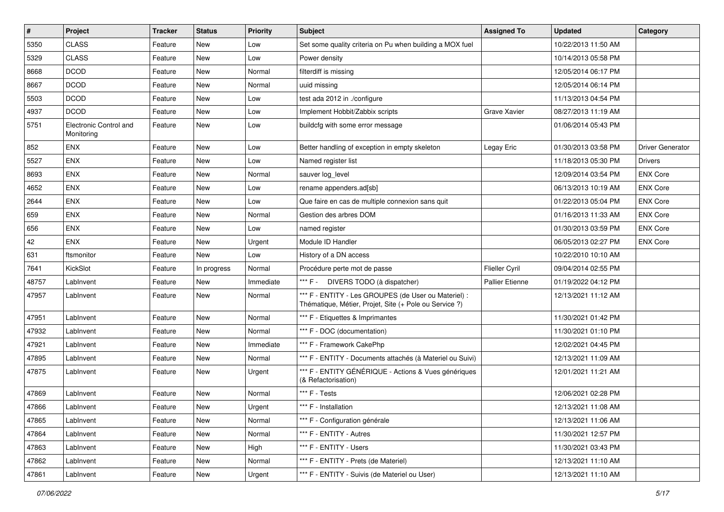| $\sharp$ | Project                              | <b>Tracker</b> | <b>Status</b> | <b>Priority</b> | <b>Subject</b>                                                                                                 | <b>Assigned To</b>     | <b>Updated</b>      | Category         |
|----------|--------------------------------------|----------------|---------------|-----------------|----------------------------------------------------------------------------------------------------------------|------------------------|---------------------|------------------|
| 5350     | <b>CLASS</b>                         | Feature        | New           | Low             | Set some quality criteria on Pu when building a MOX fuel                                                       |                        | 10/22/2013 11:50 AM |                  |
| 5329     | <b>CLASS</b>                         | Feature        | New           | Low             | Power density                                                                                                  |                        | 10/14/2013 05:58 PM |                  |
| 8668     | <b>DCOD</b>                          | Feature        | New           | Normal          | filterdiff is missing                                                                                          |                        | 12/05/2014 06:17 PM |                  |
| 8667     | <b>DCOD</b>                          | Feature        | New           | Normal          | uuid missing                                                                                                   |                        | 12/05/2014 06:14 PM |                  |
| 5503     | <b>DCOD</b>                          | Feature        | New           | Low             | test ada 2012 in ./configure                                                                                   |                        | 11/13/2013 04:54 PM |                  |
| 4937     | <b>DCOD</b>                          | Feature        | New           | Low             | Implement Hobbit/Zabbix scripts                                                                                | Grave Xavier           | 08/27/2013 11:19 AM |                  |
| 5751     | Electronic Control and<br>Monitoring | Feature        | New           | Low             | buildcfg with some error message                                                                               |                        | 01/06/2014 05:43 PM |                  |
| 852      | <b>ENX</b>                           | Feature        | <b>New</b>    | Low             | Better handling of exception in empty skeleton                                                                 | Legay Eric             | 01/30/2013 03:58 PM | Driver Generator |
| 5527     | ENX                                  | Feature        | <b>New</b>    | Low             | Named register list                                                                                            |                        | 11/18/2013 05:30 PM | Drivers          |
| 8693     | <b>ENX</b>                           | Feature        | New           | Normal          | sauver log_level                                                                                               |                        | 12/09/2014 03:54 PM | <b>ENX Core</b>  |
| 4652     | ENX                                  | Feature        | New           | Low             | rename appenders.ad[sb]                                                                                        |                        | 06/13/2013 10:19 AM | <b>ENX Core</b>  |
| 2644     | ENX                                  | Feature        | New           | Low             | Que faire en cas de multiple connexion sans quit                                                               |                        | 01/22/2013 05:04 PM | <b>ENX Core</b>  |
| 659      | <b>ENX</b>                           | Feature        | New           | Normal          | Gestion des arbres DOM                                                                                         |                        | 01/16/2013 11:33 AM | <b>ENX Core</b>  |
| 656      | ENX                                  | Feature        | <b>New</b>    | Low             | named register                                                                                                 |                        | 01/30/2013 03:59 PM | <b>ENX Core</b>  |
| 42       | ENX                                  | Feature        | New           | Urgent          | Module ID Handler                                                                                              |                        | 06/05/2013 02:27 PM | <b>ENX Core</b>  |
| 631      | ftsmonitor                           | Feature        | New           | Low             | History of a DN access                                                                                         |                        | 10/22/2010 10:10 AM |                  |
| 7641     | KickSlot                             | Feature        | In progress   | Normal          | Procédure perte mot de passe                                                                                   | <b>Flieller Cyril</b>  | 09/04/2014 02:55 PM |                  |
| 48757    | LabInvent                            | Feature        | New           | Immediate       | *** F - DIVERS TODO (à dispatcher)                                                                             | <b>Pallier Etienne</b> | 01/19/2022 04:12 PM |                  |
| 47957    | LabInvent                            | Feature        | New           | Normal          | *** F - ENTITY - Les GROUPES (de User ou Materiel) :<br>Thématique, Métier, Projet, Site (+ Pole ou Service ?) |                        | 12/13/2021 11:12 AM |                  |
| 47951    | LabInvent                            | Feature        | New           | Normal          | *** F - Etiquettes & Imprimantes                                                                               |                        | 11/30/2021 01:42 PM |                  |
| 47932    | LabInvent                            | Feature        | <b>New</b>    | Normal          | *** F - DOC (documentation)                                                                                    |                        | 11/30/2021 01:10 PM |                  |
| 47921    | LabInvent                            | Feature        | New           | Immediate       | *** F - Framework CakePhp                                                                                      |                        | 12/02/2021 04:45 PM |                  |
| 47895    | LabInvent                            | Feature        | New           | Normal          | *** F - ENTITY - Documents attachés (à Materiel ou Suivi)                                                      |                        | 12/13/2021 11:09 AM |                  |
| 47875    | LabInvent                            | Feature        | New           | Urgent          | *** F - ENTITY GÉNÉRIQUE - Actions & Vues génériques<br>(& Refactorisation)                                    |                        | 12/01/2021 11:21 AM |                  |
| 47869    | LabInvent                            | Feature        | New           | Normal          | *** F - Tests                                                                                                  |                        | 12/06/2021 02:28 PM |                  |
| 47866    | LabInvent                            | Feature        | New           | Urgent          | *** F - Installation                                                                                           |                        | 12/13/2021 11:08 AM |                  |
| 47865    | LabInvent                            | Feature        | New           | Normal          | *** F - Configuration générale                                                                                 |                        | 12/13/2021 11:06 AM |                  |
| 47864    | LabInvent                            | Feature        | New           | Normal          | *** F - ENTITY - Autres                                                                                        |                        | 11/30/2021 12:57 PM |                  |
| 47863    | LabInvent                            | Feature        | New           | High            | *** F - ENTITY - Users                                                                                         |                        | 11/30/2021 03:43 PM |                  |
| 47862    | LabInvent                            | Feature        | New           | Normal          | *** F - ENTITY - Prets (de Materiel)                                                                           |                        | 12/13/2021 11:10 AM |                  |
| 47861    | LabInvent                            | Feature        | New           | Urgent          | *** F - ENTITY - Suivis (de Materiel ou User)                                                                  |                        | 12/13/2021 11:10 AM |                  |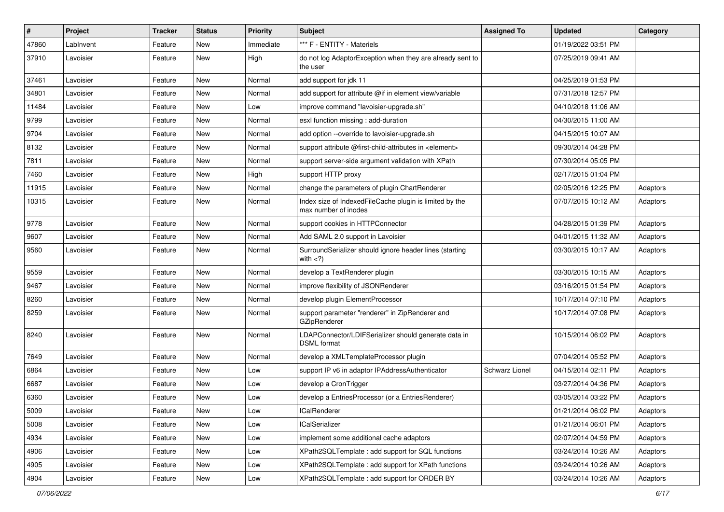| $\vert$ # | Project   | <b>Tracker</b> | <b>Status</b> | <b>Priority</b> | Subject                                                                         | <b>Assigned To</b>    | <b>Updated</b>      | Category |
|-----------|-----------|----------------|---------------|-----------------|---------------------------------------------------------------------------------|-----------------------|---------------------|----------|
| 47860     | LabInvent | Feature        | New           | Immediate       | *** F - ENTITY - Materiels                                                      |                       | 01/19/2022 03:51 PM |          |
| 37910     | Lavoisier | Feature        | New           | High            | do not log AdaptorException when they are already sent to<br>the user           |                       | 07/25/2019 09:41 AM |          |
| 37461     | Lavoisier | Feature        | New           | Normal          | add support for jdk 11                                                          |                       | 04/25/2019 01:53 PM |          |
| 34801     | Lavoisier | Feature        | New           | Normal          | add support for attribute @if in element view/variable                          |                       | 07/31/2018 12:57 PM |          |
| 11484     | Lavoisier | Feature        | New           | Low             | improve command "lavoisier-upgrade.sh"                                          |                       | 04/10/2018 11:06 AM |          |
| 9799      | Lavoisier | Feature        | New           | Normal          | esxl function missing : add-duration                                            |                       | 04/30/2015 11:00 AM |          |
| 9704      | Lavoisier | Feature        | New           | Normal          | add option --override to lavoisier-upgrade.sh                                   |                       | 04/15/2015 10:07 AM |          |
| 8132      | Lavoisier | Feature        | New           | Normal          | support attribute @first-child-attributes in <element></element>                |                       | 09/30/2014 04:28 PM |          |
| 7811      | Lavoisier | Feature        | New           | Normal          | support server-side argument validation with XPath                              |                       | 07/30/2014 05:05 PM |          |
| 7460      | Lavoisier | Feature        | New           | High            | support HTTP proxy                                                              |                       | 02/17/2015 01:04 PM |          |
| 11915     | Lavoisier | Feature        | New           | Normal          | change the parameters of plugin ChartRenderer                                   |                       | 02/05/2016 12:25 PM | Adaptors |
| 10315     | Lavoisier | Feature        | New           | Normal          | Index size of IndexedFileCache plugin is limited by the<br>max number of inodes |                       | 07/07/2015 10:12 AM | Adaptors |
| 9778      | Lavoisier | Feature        | <b>New</b>    | Normal          | support cookies in HTTPConnector                                                |                       | 04/28/2015 01:39 PM | Adaptors |
| 9607      | Lavoisier | Feature        | New           | Normal          | Add SAML 2.0 support in Lavoisier                                               |                       | 04/01/2015 11:32 AM | Adaptors |
| 9560      | Lavoisier | Feature        | New           | Normal          | SurroundSerializer should ignore header lines (starting<br>with $<$ ?)          |                       | 03/30/2015 10:17 AM | Adaptors |
| 9559      | Lavoisier | Feature        | <b>New</b>    | Normal          | develop a TextRenderer plugin                                                   |                       | 03/30/2015 10:15 AM | Adaptors |
| 9467      | Lavoisier | Feature        | New           | Normal          | improve flexibility of JSONRenderer                                             |                       | 03/16/2015 01:54 PM | Adaptors |
| 8260      | Lavoisier | Feature        | New           | Normal          | develop plugin ElementProcessor                                                 |                       | 10/17/2014 07:10 PM | Adaptors |
| 8259      | Lavoisier | Feature        | New           | Normal          | support parameter "renderer" in ZipRenderer and<br>GZipRenderer                 |                       | 10/17/2014 07:08 PM | Adaptors |
| 8240      | Lavoisier | Feature        | <b>New</b>    | Normal          | LDAPConnector/LDIFSerializer should generate data in<br><b>DSML</b> format      |                       | 10/15/2014 06:02 PM | Adaptors |
| 7649      | Lavoisier | Feature        | <b>New</b>    | Normal          | develop a XMLTemplateProcessor plugin                                           |                       | 07/04/2014 05:52 PM | Adaptors |
| 6864      | Lavoisier | Feature        | New           | Low             | support IP v6 in adaptor IPAddressAuthenticator                                 | <b>Schwarz Lionel</b> | 04/15/2014 02:11 PM | Adaptors |
| 6687      | Lavoisier | Feature        | New           | Low             | develop a CronTrigger                                                           |                       | 03/27/2014 04:36 PM | Adaptors |
| 6360      | Lavoisier | Feature        | New           | Low             | develop a EntriesProcessor (or a EntriesRenderer)                               |                       | 03/05/2014 03:22 PM | Adaptors |
| 5009      | Lavoisier | Feature        | New           | Low             | <b>ICalRenderer</b>                                                             |                       | 01/21/2014 06:02 PM | Adaptors |
| 5008      | Lavoisier | Feature        | <b>New</b>    | Low             | <b>ICalSerializer</b>                                                           |                       | 01/21/2014 06:01 PM | Adaptors |
| 4934      | Lavoisier | Feature        | New           | Low             | implement some additional cache adaptors                                        |                       | 02/07/2014 04:59 PM | Adaptors |
| 4906      | Lavoisier | Feature        | New           | Low             | XPath2SQLTemplate: add support for SQL functions                                |                       | 03/24/2014 10:26 AM | Adaptors |
| 4905      | Lavoisier | Feature        | New           | Low             | XPath2SQLTemplate: add support for XPath functions                              |                       | 03/24/2014 10:26 AM | Adaptors |
| 4904      | Lavoisier | Feature        | New           | Low             | XPath2SQLTemplate: add support for ORDER BY                                     |                       | 03/24/2014 10:26 AM | Adaptors |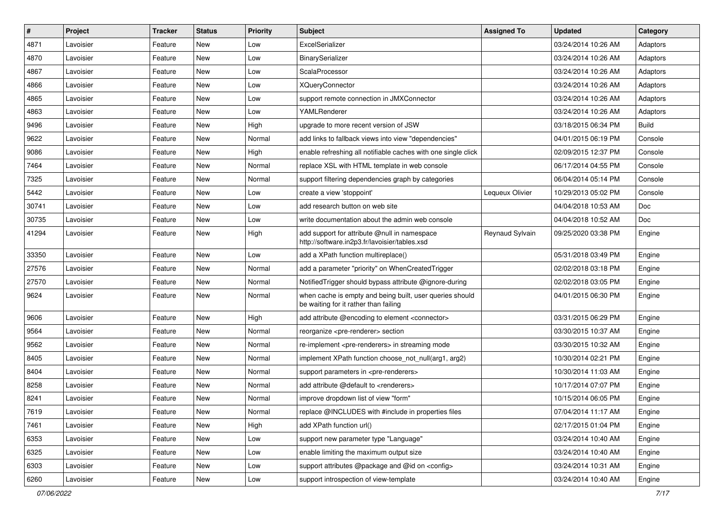| $\vert$ # | Project   | <b>Tracker</b> | <b>Status</b> | <b>Priority</b> | Subject                                                                                           | <b>Assigned To</b> | <b>Updated</b>      | Category     |
|-----------|-----------|----------------|---------------|-----------------|---------------------------------------------------------------------------------------------------|--------------------|---------------------|--------------|
| 4871      | Lavoisier | Feature        | New           | Low             | ExcelSerializer                                                                                   |                    | 03/24/2014 10:26 AM | Adaptors     |
| 4870      | Lavoisier | Feature        | New           | Low             | BinarySerializer                                                                                  |                    | 03/24/2014 10:26 AM | Adaptors     |
| 4867      | Lavoisier | Feature        | New           | Low             | ScalaProcessor                                                                                    |                    | 03/24/2014 10:26 AM | Adaptors     |
| 4866      | Lavoisier | Feature        | New           | Low             | <b>XQueryConnector</b>                                                                            |                    | 03/24/2014 10:26 AM | Adaptors     |
| 4865      | Lavoisier | Feature        | New           | Low             | support remote connection in JMXConnector                                                         |                    | 03/24/2014 10:26 AM | Adaptors     |
| 4863      | Lavoisier | Feature        | New           | Low             | YAMLRenderer                                                                                      |                    | 03/24/2014 10:26 AM | Adaptors     |
| 9496      | Lavoisier | Feature        | New           | High            | upgrade to more recent version of JSW                                                             |                    | 03/18/2015 06:34 PM | <b>Build</b> |
| 9622      | Lavoisier | Feature        | New           | Normal          | add links to fallback views into view "dependencies"                                              |                    | 04/01/2015 06:19 PM | Console      |
| 9086      | Lavoisier | Feature        | New           | High            | enable refreshing all notifiable caches with one single click                                     |                    | 02/09/2015 12:37 PM | Console      |
| 7464      | Lavoisier | Feature        | New           | Normal          | replace XSL with HTML template in web console                                                     |                    | 06/17/2014 04:55 PM | Console      |
| 7325      | Lavoisier | Feature        | New           | Normal          | support filtering dependencies graph by categories                                                |                    | 06/04/2014 05:14 PM | Console      |
| 5442      | Lavoisier | Feature        | New           | Low             | create a view 'stoppoint'                                                                         | Lequeux Olivier    | 10/29/2013 05:02 PM | Console      |
| 30741     | Lavoisier | Feature        | New           | Low             | add research button on web site                                                                   |                    | 04/04/2018 10:53 AM | Doc          |
| 30735     | Lavoisier | Feature        | New           | Low             | write documentation about the admin web console                                                   |                    | 04/04/2018 10:52 AM | Doc          |
| 41294     | Lavoisier | Feature        | New           | High            | add support for attribute @null in namespace<br>http://software.in2p3.fr/lavoisier/tables.xsd     | Reynaud Sylvain    | 09/25/2020 03:38 PM | Engine       |
| 33350     | Lavoisier | Feature        | New           | Low             | add a XPath function multireplace()                                                               |                    | 05/31/2018 03:49 PM | Engine       |
| 27576     | Lavoisier | Feature        | New           | Normal          | add a parameter "priority" on WhenCreatedTrigger                                                  |                    | 02/02/2018 03:18 PM | Engine       |
| 27570     | Lavoisier | Feature        | New           | Normal          | Notified Trigger should bypass attribute @ignore-during                                           |                    | 02/02/2018 03:05 PM | Engine       |
| 9624      | Lavoisier | Feature        | New           | Normal          | when cache is empty and being built, user queries should<br>be waiting for it rather than failing |                    | 04/01/2015 06:30 PM | Engine       |
| 9606      | Lavoisier | Feature        | New           | High            | add attribute @encoding to element <connector></connector>                                        |                    | 03/31/2015 06:29 PM | Engine       |
| 9564      | Lavoisier | Feature        | New           | Normal          | reorganize <pre-renderer> section</pre-renderer>                                                  |                    | 03/30/2015 10:37 AM | Engine       |
| 9562      | Lavoisier | Feature        | New           | Normal          | re-implement <pre-renderers> in streaming mode</pre-renderers>                                    |                    | 03/30/2015 10:32 AM | Engine       |
| 8405      | Lavoisier | Feature        | New           | Normal          | implement XPath function choose not null(arg1, arg2)                                              |                    | 10/30/2014 02:21 PM | Engine       |
| 8404      | Lavoisier | Feature        | New           | Normal          | support parameters in <pre-renderers></pre-renderers>                                             |                    | 10/30/2014 11:03 AM | Engine       |
| 8258      | Lavoisier | Feature        | New           | Normal          | add attribute @default to <renderers></renderers>                                                 |                    | 10/17/2014 07:07 PM | Engine       |
| 8241      | Lavoisier | Feature        | New           | Normal          | improve dropdown list of view "form"                                                              |                    | 10/15/2014 06:05 PM | Engine       |
| 7619      | Lavoisier | Feature        | New           | Normal          | replace @INCLUDES with #include in properties files                                               |                    | 07/04/2014 11:17 AM | Engine       |
| 7461      | Lavoisier | Feature        | New           | High            | add XPath function url()                                                                          |                    | 02/17/2015 01:04 PM | Engine       |
| 6353      | Lavoisier | Feature        | New           | Low             | support new parameter type "Language"                                                             |                    | 03/24/2014 10:40 AM | Engine       |
| 6325      | Lavoisier | Feature        | New           | Low             | enable limiting the maximum output size                                                           |                    | 03/24/2014 10:40 AM | Engine       |
| 6303      | Lavoisier | Feature        | New           | Low             | support attributes @package and @id on <config></config>                                          |                    | 03/24/2014 10:31 AM | Engine       |
| 6260      | Lavoisier | Feature        | New           | Low             | support introspection of view-template                                                            |                    | 03/24/2014 10:40 AM | Engine       |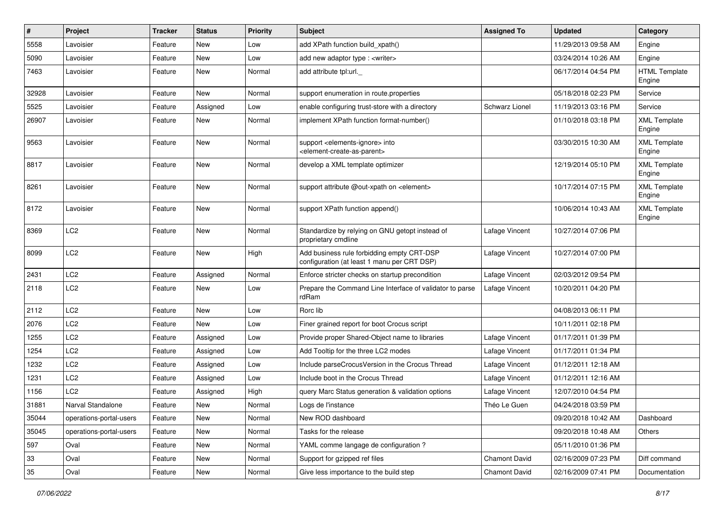| $\pmb{\#}$ | Project                 | <b>Tracker</b> | <b>Status</b> | <b>Priority</b> | <b>Subject</b>                                                                                             | <b>Assigned To</b>   | <b>Updated</b>      | Category                       |
|------------|-------------------------|----------------|---------------|-----------------|------------------------------------------------------------------------------------------------------------|----------------------|---------------------|--------------------------------|
| 5558       | Lavoisier               | Feature        | New           | Low             | add XPath function build_xpath()                                                                           |                      | 11/29/2013 09:58 AM | Engine                         |
| 5090       | Lavoisier               | Feature        | New           | Low             | add new adaptor type : <writer></writer>                                                                   |                      | 03/24/2014 10:26 AM | Engine                         |
| 7463       | Lavoisier               | Feature        | New           | Normal          | add attribute tpl:url.                                                                                     |                      | 06/17/2014 04:54 PM | <b>HTML Template</b><br>Engine |
| 32928      | Lavoisier               | Feature        | New           | Normal          | support enumeration in route properties                                                                    |                      | 05/18/2018 02:23 PM | Service                        |
| 5525       | Lavoisier               | Feature        | Assigned      | Low             | enable configuring trust-store with a directory                                                            | Schwarz Lionel       | 11/19/2013 03:16 PM | Service                        |
| 26907      | Lavoisier               | Feature        | New           | Normal          | implement XPath function format-number()                                                                   |                      | 01/10/2018 03:18 PM | <b>XML Template</b><br>Engine  |
| 9563       | Lavoisier               | Feature        | New           | Normal          | support <elements-ignore> into<br/><element-create-as-parent></element-create-as-parent></elements-ignore> |                      | 03/30/2015 10:30 AM | <b>XML Template</b><br>Engine  |
| 8817       | Lavoisier               | Feature        | New           | Normal          | develop a XML template optimizer                                                                           |                      | 12/19/2014 05:10 PM | <b>XML Template</b><br>Engine  |
| 8261       | Lavoisier               | Feature        | New           | Normal          | support attribute @out-xpath on <element></element>                                                        |                      | 10/17/2014 07:15 PM | <b>XML Template</b><br>Engine  |
| 8172       | Lavoisier               | Feature        | New           | Normal          | support XPath function append()                                                                            |                      | 10/06/2014 10:43 AM | <b>XML Template</b><br>Engine  |
| 8369       | LC <sub>2</sub>         | Feature        | New           | Normal          | Standardize by relying on GNU getopt instead of<br>proprietary cmdline                                     | Lafage Vincent       | 10/27/2014 07:06 PM |                                |
| 8099       | LC <sub>2</sub>         | Feature        | New           | High            | Add business rule forbidding empty CRT-DSP<br>configuration (at least 1 manu per CRT DSP)                  | Lafage Vincent       | 10/27/2014 07:00 PM |                                |
| 2431       | LC <sub>2</sub>         | Feature        | Assigned      | Normal          | Enforce stricter checks on startup precondition                                                            | Lafage Vincent       | 02/03/2012 09:54 PM |                                |
| 2118       | LC <sub>2</sub>         | Feature        | New           | Low             | Prepare the Command Line Interface of validator to parse<br>rdRam                                          | Lafage Vincent       | 10/20/2011 04:20 PM |                                |
| 2112       | LC <sub>2</sub>         | Feature        | New           | Low             | Rorc lib                                                                                                   |                      | 04/08/2013 06:11 PM |                                |
| 2076       | LC <sub>2</sub>         | Feature        | New           | Low             | Finer grained report for boot Crocus script                                                                |                      | 10/11/2011 02:18 PM |                                |
| 1255       | LC <sub>2</sub>         | Feature        | Assigned      | Low             | Provide proper Shared-Object name to libraries                                                             | Lafage Vincent       | 01/17/2011 01:39 PM |                                |
| 1254       | LC <sub>2</sub>         | Feature        | Assigned      | Low             | Add Tooltip for the three LC2 modes                                                                        | Lafage Vincent       | 01/17/2011 01:34 PM |                                |
| 1232       | LC <sub>2</sub>         | Feature        | Assigned      | Low             | Include parseCrocusVersion in the Crocus Thread                                                            | Lafage Vincent       | 01/12/2011 12:18 AM |                                |
| 1231       | LC <sub>2</sub>         | Feature        | Assigned      | Low             | Include boot in the Crocus Thread                                                                          | Lafage Vincent       | 01/12/2011 12:16 AM |                                |
| 1156       | LC <sub>2</sub>         | Feature        | Assigned      | High            | query Marc Status generation & validation options                                                          | Lafage Vincent       | 12/07/2010 04:54 PM |                                |
| 31881      | Narval Standalone       | Feature        | New           | Normal          | Logs de l'instance                                                                                         | Théo Le Guen         | 04/24/2018 03:59 PM |                                |
| 35044      | operations-portal-users | Feature        | New           | Normal          | New ROD dashboard                                                                                          |                      | 09/20/2018 10:42 AM | Dashboard                      |
| 35045      | operations-portal-users | Feature        | New           | Normal          | Tasks for the release                                                                                      |                      | 09/20/2018 10:48 AM | Others                         |
| 597        | Oval                    | Feature        | New           | Normal          | YAML comme langage de configuration ?                                                                      |                      | 05/11/2010 01:36 PM |                                |
| 33         | Oval                    | Feature        | New           | Normal          | Support for gzipped ref files                                                                              | <b>Chamont David</b> | 02/16/2009 07:23 PM | Diff command                   |
| 35         | Oval                    | Feature        | New           | Normal          | Give less importance to the build step                                                                     | Chamont David        | 02/16/2009 07:41 PM | Documentation                  |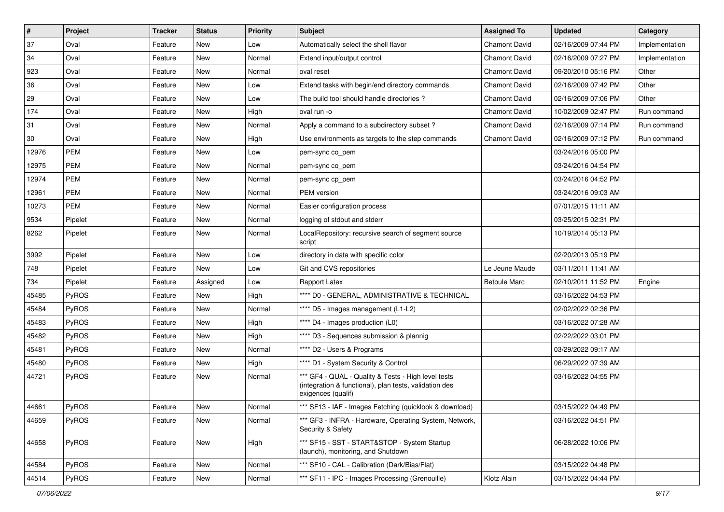| $\sharp$ | Project      | <b>Tracker</b> | <b>Status</b> | <b>Priority</b> | Subject                                                                                                                             | <b>Assigned To</b>   | <b>Updated</b>      | Category       |
|----------|--------------|----------------|---------------|-----------------|-------------------------------------------------------------------------------------------------------------------------------------|----------------------|---------------------|----------------|
| 37       | Oval         | Feature        | New           | Low             | Automatically select the shell flavor                                                                                               | <b>Chamont David</b> | 02/16/2009 07:44 PM | Implementation |
| 34       | Oval         | Feature        | <b>New</b>    | Normal          | Extend input/output control                                                                                                         | <b>Chamont David</b> | 02/16/2009 07:27 PM | Implementation |
| 923      | Oval         | Feature        | New           | Normal          | oval reset                                                                                                                          | <b>Chamont David</b> | 09/20/2010 05:16 PM | Other          |
| 36       | Oval         | Feature        | New           | Low             | Extend tasks with begin/end directory commands                                                                                      | <b>Chamont David</b> | 02/16/2009 07:42 PM | Other          |
| 29       | Oval         | Feature        | New           | Low             | The build tool should handle directories?                                                                                           | <b>Chamont David</b> | 02/16/2009 07:06 PM | Other          |
| 174      | Oval         | Feature        | New           | High            | oval run -o                                                                                                                         | <b>Chamont David</b> | 10/02/2009 02:47 PM | Run command    |
| 31       | Oval         | Feature        | New           | Normal          | Apply a command to a subdirectory subset?                                                                                           | <b>Chamont David</b> | 02/16/2009 07:14 PM | Run command    |
| 30       | Oval         | Feature        | New           | High            | Use environments as targets to the step commands                                                                                    | <b>Chamont David</b> | 02/16/2009 07:12 PM | Run command    |
| 12976    | PEM          | Feature        | New           | Low             | pem-sync co_pem                                                                                                                     |                      | 03/24/2016 05:00 PM |                |
| 12975    | <b>PEM</b>   | Feature        | New           | Normal          | pem-sync co_pem                                                                                                                     |                      | 03/24/2016 04:54 PM |                |
| 12974    | PEM          | Feature        | New           | Normal          | pem-sync cp_pem                                                                                                                     |                      | 03/24/2016 04:52 PM |                |
| 12961    | PEM          | Feature        | New           | Normal          | PEM version                                                                                                                         |                      | 03/24/2016 09:03 AM |                |
| 10273    | <b>PEM</b>   | Feature        | New           | Normal          | Easier configuration process                                                                                                        |                      | 07/01/2015 11:11 AM |                |
| 9534     | Pipelet      | Feature        | New           | Normal          | logging of stdout and stderr                                                                                                        |                      | 03/25/2015 02:31 PM |                |
| 8262     | Pipelet      | Feature        | New           | Normal          | LocalRepository: recursive search of segment source<br>script                                                                       |                      | 10/19/2014 05:13 PM |                |
| 3992     | Pipelet      | Feature        | <b>New</b>    | Low             | directory in data with specific color                                                                                               |                      | 02/20/2013 05:19 PM |                |
| 748      | Pipelet      | Feature        | New           | Low             | Git and CVS repositories                                                                                                            | Le Jeune Maude       | 03/11/2011 11:41 AM |                |
| 734      | Pipelet      | Feature        | Assigned      | Low             | Rapport Latex                                                                                                                       | <b>Betoule Marc</b>  | 02/10/2011 11:52 PM | Engine         |
| 45485    | PyROS        | Feature        | New           | High            | **** D0 - GENERAL, ADMINISTRATIVE & TECHNICAL                                                                                       |                      | 03/16/2022 04:53 PM |                |
| 45484    | PyROS        | Feature        | New           | Normal          | **** D5 - Images management (L1-L2)                                                                                                 |                      | 02/02/2022 02:36 PM |                |
| 45483    | PyROS        | Feature        | New           | High            | **** D4 - Images production (L0)                                                                                                    |                      | 03/16/2022 07:28 AM |                |
| 45482    | <b>PyROS</b> | Feature        | New           | High            | **** D3 - Sequences submission & plannig                                                                                            |                      | 02/22/2022 03:01 PM |                |
| 45481    | PyROS        | Feature        | New           | Normal          | **** D2 - Users & Programs                                                                                                          |                      | 03/29/2022 09:17 AM |                |
| 45480    | PyROS        | Feature        | New           | High            | **** D1 - System Security & Control                                                                                                 |                      | 06/29/2022 07:39 AM |                |
| 44721    | <b>PyROS</b> | Feature        | New           | Normal          | *** GF4 - QUAL - Quality & Tests - High level tests<br>(integration & functional), plan tests, validation des<br>exigences (qualif) |                      | 03/16/2022 04:55 PM |                |
| 44661    | PyROS        | Feature        | New           | Normal          | *** SF13 - IAF - Images Fetching (quicklook & download)                                                                             |                      | 03/15/2022 04:49 PM |                |
| 44659    | <b>PyROS</b> | Feature        | New           | Normal          | *** GF3 - INFRA - Hardware, Operating System, Network,<br>Security & Safety                                                         |                      | 03/16/2022 04:51 PM |                |
| 44658    | <b>PyROS</b> | Feature        | New           | High            | *** SF15 - SST - START&STOP - System Startup<br>(launch), monitoring, and Shutdown                                                  |                      | 06/28/2022 10:06 PM |                |
| 44584    | PyROS        | Feature        | New           | Normal          | *** SF10 - CAL - Calibration (Dark/Bias/Flat)                                                                                       |                      | 03/15/2022 04:48 PM |                |
| 44514    | PyROS        | Feature        | New           | Normal          | *** SF11 - IPC - Images Processing (Grenouille)                                                                                     | Klotz Alain          | 03/15/2022 04:44 PM |                |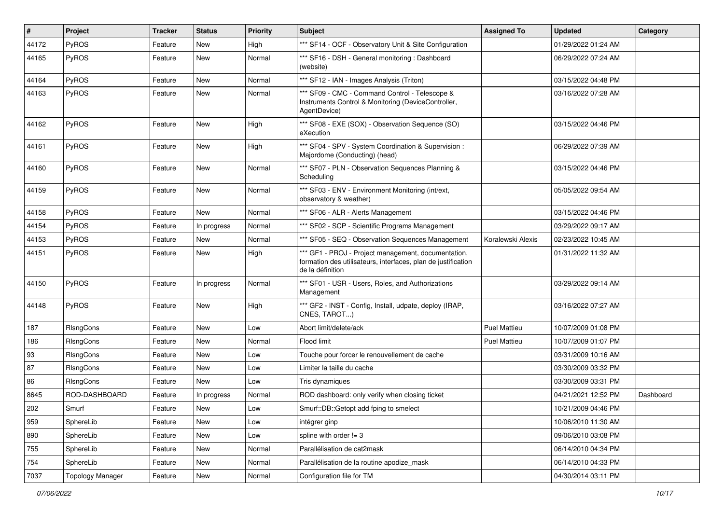| #     | Project                 | <b>Tracker</b> | <b>Status</b> | <b>Priority</b> | Subject                                                                                                                                  | <b>Assigned To</b>  | <b>Updated</b>      | Category  |
|-------|-------------------------|----------------|---------------|-----------------|------------------------------------------------------------------------------------------------------------------------------------------|---------------------|---------------------|-----------|
| 44172 | PyROS                   | Feature        | New           | High            | *** SF14 - OCF - Observatory Unit & Site Configuration                                                                                   |                     | 01/29/2022 01:24 AM |           |
| 44165 | PyROS                   | Feature        | <b>New</b>    | Normal          | *** SF16 - DSH - General monitoring: Dashboard<br>(website)                                                                              |                     | 06/29/2022 07:24 AM |           |
| 44164 | PyROS                   | Feature        | New           | Normal          | *** SF12 - IAN - Images Analysis (Triton)                                                                                                |                     | 03/15/2022 04:48 PM |           |
| 44163 | PyROS                   | Feature        | <b>New</b>    | Normal          | *** SF09 - CMC - Command Control - Telescope &<br>Instruments Control & Monitoring (DeviceController,<br>AgentDevice)                    |                     | 03/16/2022 07:28 AM |           |
| 44162 | PyROS                   | Feature        | <b>New</b>    | High            | *** SF08 - EXE (SOX) - Observation Sequence (SO)<br>eXecution                                                                            |                     | 03/15/2022 04:46 PM |           |
| 44161 | PyROS                   | Feature        | New           | High            | *** SF04 - SPV - System Coordination & Supervision :<br>Majordome (Conducting) (head)                                                    |                     | 06/29/2022 07:39 AM |           |
| 44160 | PyROS                   | Feature        | New           | Normal          | *** SF07 - PLN - Observation Sequences Planning &<br>Scheduling                                                                          |                     | 03/15/2022 04:46 PM |           |
| 44159 | PyROS                   | Feature        | <b>New</b>    | Normal          | *** SF03 - ENV - Environment Monitoring (int/ext,<br>observatory & weather)                                                              |                     | 05/05/2022 09:54 AM |           |
| 44158 | PyROS                   | Feature        | <b>New</b>    | Normal          | *** SF06 - ALR - Alerts Management                                                                                                       |                     | 03/15/2022 04:46 PM |           |
| 44154 | <b>PyROS</b>            | Feature        | In progress   | Normal          | *** SF02 - SCP - Scientific Programs Management                                                                                          |                     | 03/29/2022 09:17 AM |           |
| 44153 | PyROS                   | Feature        | New           | Normal          | *** SF05 - SEQ - Observation Sequences Management                                                                                        | Koralewski Alexis   | 02/23/2022 10:45 AM |           |
| 44151 | PyROS                   | Feature        | New           | High            | *** GF1 - PROJ - Project management, documentation,<br>formation des utilisateurs, interfaces, plan de justification<br>de la définition |                     | 01/31/2022 11:32 AM |           |
| 44150 | PyROS                   | Feature        | In progress   | Normal          | *** SF01 - USR - Users, Roles, and Authorizations<br>Management                                                                          |                     | 03/29/2022 09:14 AM |           |
| 44148 | PyROS                   | Feature        | New           | High            | *** GF2 - INST - Config, Install, udpate, deploy (IRAP,<br>CNES, TAROT)                                                                  |                     | 03/16/2022 07:27 AM |           |
| 187   | RIsngCons               | Feature        | New           | Low             | Abort limit/delete/ack                                                                                                                   | <b>Puel Mattieu</b> | 10/07/2009 01:08 PM |           |
| 186   | RIsngCons               | Feature        | New           | Normal          | Flood limit                                                                                                                              | <b>Puel Mattieu</b> | 10/07/2009 01:07 PM |           |
| 93    | RIsngCons               | Feature        | New           | Low             | Touche pour forcer le renouvellement de cache                                                                                            |                     | 03/31/2009 10:16 AM |           |
| 87    | RIsngCons               | Feature        | New           | Low             | Limiter la taille du cache                                                                                                               |                     | 03/30/2009 03:32 PM |           |
| 86    | <b>RIsngCons</b>        | Feature        | New           | Low             | Tris dynamiques                                                                                                                          |                     | 03/30/2009 03:31 PM |           |
| 8645  | ROD-DASHBOARD           | Feature        | In progress   | Normal          | ROD dashboard: only verify when closing ticket                                                                                           |                     | 04/21/2021 12:52 PM | Dashboard |
| 202   | Smurf                   | Feature        | New           | Low             | Smurf::DB::Getopt add fping to smelect                                                                                                   |                     | 10/21/2009 04:46 PM |           |
| 959   | SphereLib               | Feature        | New           | Low             | intégrer ginp                                                                                                                            |                     | 10/06/2010 11:30 AM |           |
| 890   | SphereLib               | Feature        | New           | Low             | spline with order $!= 3$                                                                                                                 |                     | 09/06/2010 03:08 PM |           |
| 755   | SphereLib               | Feature        | New           | Normal          | Parallélisation de cat2mask                                                                                                              |                     | 06/14/2010 04:34 PM |           |
| 754   | SphereLib               | Feature        | New           | Normal          | Parallélisation de la routine apodize mask                                                                                               |                     | 06/14/2010 04:33 PM |           |
| 7037  | <b>Topology Manager</b> | Feature        | New           | Normal          | Configuration file for TM                                                                                                                |                     | 04/30/2014 03:11 PM |           |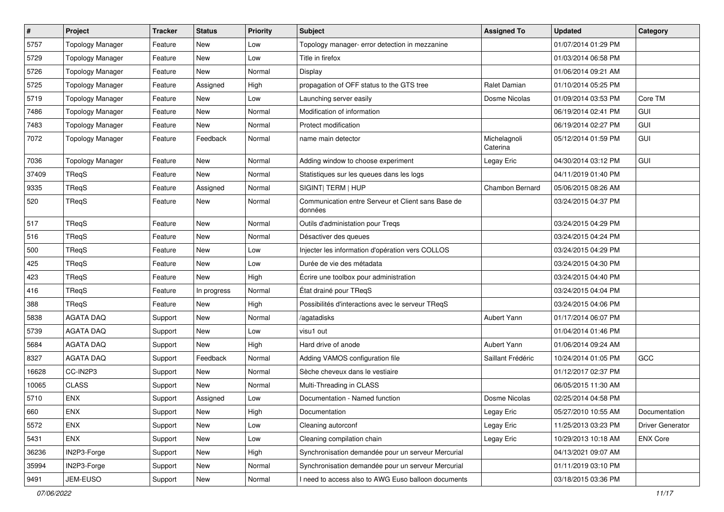| $\pmb{\#}$ | Project                 | <b>Tracker</b> | <b>Status</b> | <b>Priority</b> | Subject                                                       | <b>Assigned To</b>       | <b>Updated</b>      | Category         |
|------------|-------------------------|----------------|---------------|-----------------|---------------------------------------------------------------|--------------------------|---------------------|------------------|
| 5757       | <b>Topology Manager</b> | Feature        | New           | Low             | Topology manager- error detection in mezzanine                |                          | 01/07/2014 01:29 PM |                  |
| 5729       | <b>Topology Manager</b> | Feature        | <b>New</b>    | Low             | Title in firefox                                              |                          | 01/03/2014 06:58 PM |                  |
| 5726       | <b>Topology Manager</b> | Feature        | <b>New</b>    | Normal          | Display                                                       |                          | 01/06/2014 09:21 AM |                  |
| 5725       | <b>Topology Manager</b> | Feature        | Assigned      | High            | propagation of OFF status to the GTS tree                     | Ralet Damian             | 01/10/2014 05:25 PM |                  |
| 5719       | <b>Topology Manager</b> | Feature        | New           | Low             | Launching server easily                                       | Dosme Nicolas            | 01/09/2014 03:53 PM | Core TM          |
| 7486       | <b>Topology Manager</b> | Feature        | New           | Normal          | Modification of information                                   |                          | 06/19/2014 02:41 PM | GUI              |
| 7483       | <b>Topology Manager</b> | Feature        | <b>New</b>    | Normal          | Protect modification                                          |                          | 06/19/2014 02:27 PM | GUI              |
| 7072       | <b>Topology Manager</b> | Feature        | Feedback      | Normal          | name main detector                                            | Michelagnoli<br>Caterina | 05/12/2014 01:59 PM | <b>GUI</b>       |
| 7036       | <b>Topology Manager</b> | Feature        | <b>New</b>    | Normal          | Adding window to choose experiment                            | Legay Eric               | 04/30/2014 03:12 PM | GUI              |
| 37409      | TReqS                   | Feature        | <b>New</b>    | Normal          | Statistiques sur les queues dans les logs                     |                          | 04/11/2019 01:40 PM |                  |
| 9335       | TReqS                   | Feature        | Assigned      | Normal          | SIGINT  TERM   HUP                                            | Chambon Bernard          | 05/06/2015 08:26 AM |                  |
| 520        | TReqS                   | Feature        | New           | Normal          | Communication entre Serveur et Client sans Base de<br>données |                          | 03/24/2015 04:37 PM |                  |
| 517        | TReqS                   | Feature        | <b>New</b>    | Normal          | Outils d'administation pour Treqs                             |                          | 03/24/2015 04:29 PM |                  |
| 516        | TReqS                   | Feature        | New           | Normal          | Désactiver des queues                                         |                          | 03/24/2015 04:24 PM |                  |
| 500        | TReqS                   | Feature        | New           | Low             | Injecter les information d'opération vers COLLOS              |                          | 03/24/2015 04:29 PM |                  |
| 425        | TReqS                   | Feature        | <b>New</b>    | Low             | Durée de vie des métadata                                     |                          | 03/24/2015 04:30 PM |                  |
| 423        | TReqS                   | Feature        | <b>New</b>    | High            | Écrire une toolbox pour administration                        |                          | 03/24/2015 04:40 PM |                  |
| 416        | TReqS                   | Feature        | In progress   | Normal          | État drainé pour TReqS                                        |                          | 03/24/2015 04:04 PM |                  |
| 388        | TReaS                   | Feature        | <b>New</b>    | High            | Possibilités d'interactions avec le serveur TReqS             |                          | 03/24/2015 04:06 PM |                  |
| 5838       | <b>AGATA DAQ</b>        | Support        | New           | Normal          | /agatadisks                                                   | Aubert Yann              | 01/17/2014 06:07 PM |                  |
| 5739       | <b>AGATA DAQ</b>        | Support        | <b>New</b>    | Low             | visu1 out                                                     |                          | 01/04/2014 01:46 PM |                  |
| 5684       | <b>AGATA DAQ</b>        | Support        | <b>New</b>    | High            | Hard drive of anode                                           | Aubert Yann              | 01/06/2014 09:24 AM |                  |
| 8327       | <b>AGATA DAQ</b>        | Support        | Feedback      | Normal          | Adding VAMOS configuration file                               | Saillant Frédéric        | 10/24/2014 01:05 PM | GCC              |
| 16628      | CC-IN2P3                | Support        | <b>New</b>    | Normal          | Sèche cheveux dans le vestiaire                               |                          | 01/12/2017 02:37 PM |                  |
| 10065      | <b>CLASS</b>            | Support        | New           | Normal          | Multi-Threading in CLASS                                      |                          | 06/05/2015 11:30 AM |                  |
| 5710       | <b>ENX</b>              | Support        | Assigned      | Low             | Documentation - Named function                                | Dosme Nicolas            | 02/25/2014 04:58 PM |                  |
| 660        | ENX                     | Support        | New           | High            | Documentation                                                 | Legay Eric               | 05/27/2010 10:55 AM | Documentation    |
| 5572       | <b>ENX</b>              | Support        | New           | Low             | Cleaning autorconf                                            | Legay Eric               | 11/25/2013 03:23 PM | Driver Generator |
| 5431       | <b>ENX</b>              | Support        | New           | Low             | Cleaning compilation chain                                    | Legay Eric               | 10/29/2013 10:18 AM | <b>ENX Core</b>  |
| 36236      | IN2P3-Forge             | Support        | New           | High            | Synchronisation demandée pour un serveur Mercurial            |                          | 04/13/2021 09:07 AM |                  |
| 35994      | IN2P3-Forge             | Support        | New           | Normal          | Synchronisation demandée pour un serveur Mercurial            |                          | 01/11/2019 03:10 PM |                  |
| 9491       | JEM-EUSO                | Support        | New           | Normal          | I need to access also to AWG Euso balloon documents           |                          | 03/18/2015 03:36 PM |                  |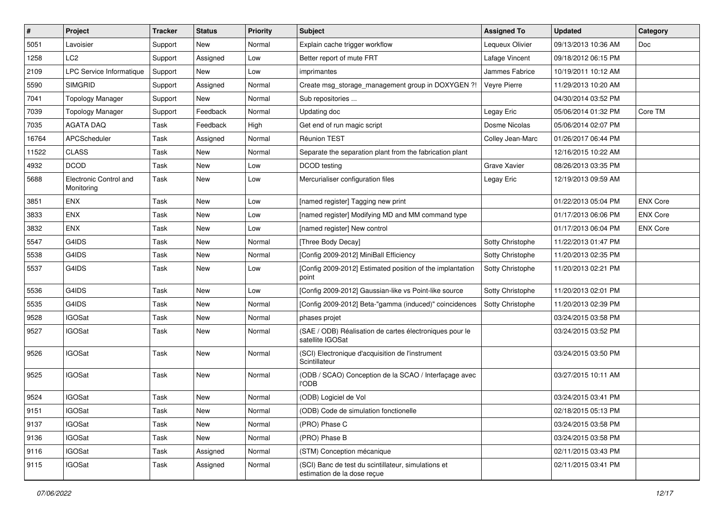| $\vert$ # | Project                              | <b>Tracker</b> | <b>Status</b> | <b>Priority</b> | <b>Subject</b>                                                                     | <b>Assigned To</b> | <b>Updated</b>      | Category        |
|-----------|--------------------------------------|----------------|---------------|-----------------|------------------------------------------------------------------------------------|--------------------|---------------------|-----------------|
| 5051      | Lavoisier                            | Support        | New           | Normal          | Explain cache trigger workflow                                                     | Lequeux Olivier    | 09/13/2013 10:36 AM | Doc             |
| 1258      | LC <sub>2</sub>                      | Support        | Assigned      | Low             | Better report of mute FRT                                                          | Lafage Vincent     | 09/18/2012 06:15 PM |                 |
| 2109      | LPC Service Informatique             | Support        | New           | Low             | imprimantes                                                                        | Jammes Fabrice     | 10/19/2011 10:12 AM |                 |
| 5590      | <b>SIMGRID</b>                       | Support        | Assigned      | Normal          | Create msg_storage_management group in DOXYGEN ?!                                  | Veyre Pierre       | 11/29/2013 10:20 AM |                 |
| 7041      | <b>Topology Manager</b>              | Support        | New           | Normal          | Sub repositories                                                                   |                    | 04/30/2014 03:52 PM |                 |
| 7039      | <b>Topology Manager</b>              | Support        | Feedback      | Normal          | Updating doc                                                                       | Legay Eric         | 05/06/2014 01:32 PM | Core TM         |
| 7035      | <b>AGATA DAQ</b>                     | Task           | Feedback      | High            | Get end of run magic script                                                        | Dosme Nicolas      | 05/06/2014 02:07 PM |                 |
| 16764     | APCScheduler                         | Task           | Assigned      | Normal          | Réunion TEST                                                                       | Colley Jean-Marc   | 01/26/2017 06:44 PM |                 |
| 11522     | <b>CLASS</b>                         | Task           | New           | Normal          | Separate the separation plant from the fabrication plant                           |                    | 12/16/2015 10:22 AM |                 |
| 4932      | <b>DCOD</b>                          | Task           | <b>New</b>    | Low             | DCOD testing                                                                       | Grave Xavier       | 08/26/2013 03:35 PM |                 |
| 5688      | Electronic Control and<br>Monitoring | Task           | New           | Low             | Mercurialiser configuration files                                                  | Legay Eric         | 12/19/2013 09:59 AM |                 |
| 3851      | <b>ENX</b>                           | Task           | New           | Low             | [named register] Tagging new print                                                 |                    | 01/22/2013 05:04 PM | <b>ENX Core</b> |
| 3833      | <b>ENX</b>                           | Task           | New           | Low             | [named register] Modifying MD and MM command type                                  |                    | 01/17/2013 06:06 PM | <b>ENX Core</b> |
| 3832      | <b>ENX</b>                           | Task           | New           | Low             | [named register] New control                                                       |                    | 01/17/2013 06:04 PM | <b>ENX Core</b> |
| 5547      | G4IDS                                | Task           | New           | Normal          | [Three Body Decay]                                                                 | Sotty Christophe   | 11/22/2013 01:47 PM |                 |
| 5538      | G4IDS                                | Task           | New           | Normal          | [Config 2009-2012] MiniBall Efficiency                                             | Sotty Christophe   | 11/20/2013 02:35 PM |                 |
| 5537      | G4IDS                                | Task           | <b>New</b>    | Low             | [Config 2009-2012] Estimated position of the implantation<br>point                 | Sotty Christophe   | 11/20/2013 02:21 PM |                 |
| 5536      | G4IDS                                | Task           | New           | Low             | [Config 2009-2012] Gaussian-like vs Point-like source                              | Sotty Christophe   | 11/20/2013 02:01 PM |                 |
| 5535      | G4IDS                                | Task           | New           | Normal          | [Config 2009-2012] Beta-"gamma (induced)" coincidences                             | Sotty Christophe   | 11/20/2013 02:39 PM |                 |
| 9528      | <b>IGOSat</b>                        | Task           | New           | Normal          | phases projet                                                                      |                    | 03/24/2015 03:58 PM |                 |
| 9527      | <b>IGOSat</b>                        | Task           | New           | Normal          | (SAE / ODB) Réalisation de cartes électroniques pour le<br>satellite IGOSat        |                    | 03/24/2015 03:52 PM |                 |
| 9526      | <b>IGOSat</b>                        | Task           | New           | Normal          | (SCI) Electronique d'acquisition de l'instrument<br>Scintillateur                  |                    | 03/24/2015 03:50 PM |                 |
| 9525      | <b>IGOSat</b>                        | Task           | <b>New</b>    | Normal          | (ODB / SCAO) Conception de la SCAO / Interfaçage avec<br><b>l'ODB</b>              |                    | 03/27/2015 10:11 AM |                 |
| 9524      | <b>IGOSat</b>                        | Task           | New           | Normal          | (ODB) Logiciel de Vol                                                              |                    | 03/24/2015 03:41 PM |                 |
| 9151      | <b>IGOSat</b>                        | Task           | New           | Normal          | (ODB) Code de simulation fonctionelle                                              |                    | 02/18/2015 05:13 PM |                 |
| 9137      | <b>IGOSat</b>                        | Task           | New           | Normal          | (PRO) Phase C                                                                      |                    | 03/24/2015 03:58 PM |                 |
| 9136      | <b>IGOSat</b>                        | Task           | New           | Normal          | (PRO) Phase B                                                                      |                    | 03/24/2015 03:58 PM |                 |
| 9116      | <b>IGOSat</b>                        | Task           | Assigned      | Normal          | (STM) Conception mécanique                                                         |                    | 02/11/2015 03:43 PM |                 |
| 9115      | <b>IGOSat</b>                        | Task           | Assigned      | Normal          | (SCI) Banc de test du scintillateur, simulations et<br>estimation de la dose reçue |                    | 02/11/2015 03:41 PM |                 |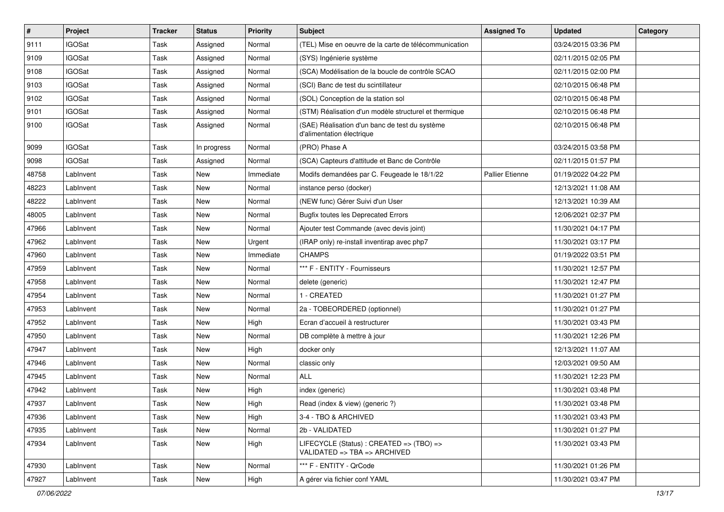| $\vert$ # | Project       | <b>Tracker</b> | <b>Status</b> | <b>Priority</b> | <b>Subject</b>                                                              | <b>Assigned To</b>     | <b>Updated</b>      | Category |
|-----------|---------------|----------------|---------------|-----------------|-----------------------------------------------------------------------------|------------------------|---------------------|----------|
| 9111      | <b>IGOSat</b> | Task           | Assigned      | Normal          | (TEL) Mise en oeuvre de la carte de télécommunication                       |                        | 03/24/2015 03:36 PM |          |
| 9109      | <b>IGOSat</b> | Task           | Assigned      | Normal          | (SYS) Ingénierie système                                                    |                        | 02/11/2015 02:05 PM |          |
| 9108      | <b>IGOSat</b> | Task           | Assigned      | Normal          | (SCA) Modélisation de la boucle de contrôle SCAO                            |                        | 02/11/2015 02:00 PM |          |
| 9103      | <b>IGOSat</b> | Task           | Assigned      | Normal          | (SCI) Banc de test du scintillateur                                         |                        | 02/10/2015 06:48 PM |          |
| 9102      | <b>IGOSat</b> | Task           | Assigned      | Normal          | (SOL) Conception de la station sol                                          |                        | 02/10/2015 06:48 PM |          |
| 9101      | <b>IGOSat</b> | Task           | Assigned      | Normal          | (STM) Réalisation d'un modèle structurel et thermique                       |                        | 02/10/2015 06:48 PM |          |
| 9100      | <b>IGOSat</b> | Task           | Assigned      | Normal          | (SAE) Réalisation d'un banc de test du système<br>d'alimentation électrique |                        | 02/10/2015 06:48 PM |          |
| 9099      | <b>IGOSat</b> | Task           | In progress   | Normal          | (PRO) Phase A                                                               |                        | 03/24/2015 03:58 PM |          |
| 9098      | <b>IGOSat</b> | Task           | Assigned      | Normal          | (SCA) Capteurs d'attitude et Banc de Contrôle                               |                        | 02/11/2015 01:57 PM |          |
| 48758     | LabInvent     | Task           | New           | Immediate       | Modifs demandées par C. Feugeade le 18/1/22                                 | <b>Pallier Etienne</b> | 01/19/2022 04:22 PM |          |
| 48223     | LabInvent     | Task           | <b>New</b>    | Normal          | instance perso (docker)                                                     |                        | 12/13/2021 11:08 AM |          |
| 48222     | Lablnvent     | Task           | <b>New</b>    | Normal          | (NEW func) Gérer Suivi d'un User                                            |                        | 12/13/2021 10:39 AM |          |
| 48005     | LabInvent     | Task           | <b>New</b>    | Normal          | <b>Bugfix toutes les Deprecated Errors</b>                                  |                        | 12/06/2021 02:37 PM |          |
| 47966     | LabInvent     | Task           | <b>New</b>    | Normal          | Ajouter test Commande (avec devis joint)                                    |                        | 11/30/2021 04:17 PM |          |
| 47962     | Lablnvent     | Task           | New           | Urgent          | (IRAP only) re-install inventirap avec php7                                 |                        | 11/30/2021 03:17 PM |          |
| 47960     | Lablnvent     | Task           | <b>New</b>    | Immediate       | <b>CHAMPS</b>                                                               |                        | 01/19/2022 03:51 PM |          |
| 47959     | LabInvent     | Task           | <b>New</b>    | Normal          | *** F - ENTITY - Fournisseurs                                               |                        | 11/30/2021 12:57 PM |          |
| 47958     | LabInvent     | Task           | <b>New</b>    | Normal          | delete (generic)                                                            |                        | 11/30/2021 12:47 PM |          |
| 47954     | LabInvent     | Task           | New           | Normal          | 1 - CREATED                                                                 |                        | 11/30/2021 01:27 PM |          |
| 47953     | Lablnvent     | Task           | <b>New</b>    | Normal          | 2a - TOBEORDERED (optionnel)                                                |                        | 11/30/2021 01:27 PM |          |
| 47952     | LabInvent     | Task           | <b>New</b>    | High            | Ecran d'accueil à restructurer                                              |                        | 11/30/2021 03:43 PM |          |
| 47950     | Lablnvent     | Task           | <b>New</b>    | Normal          | DB complète à mettre à jour                                                 |                        | 11/30/2021 12:26 PM |          |
| 47947     | LabInvent     | Task           | <b>New</b>    | High            | docker only                                                                 |                        | 12/13/2021 11:07 AM |          |
| 47946     | LabInvent     | Task           | <b>New</b>    | Normal          | classic only                                                                |                        | 12/03/2021 09:50 AM |          |
| 47945     | Lablnvent     | Task           | <b>New</b>    | Normal          | <b>ALL</b>                                                                  |                        | 11/30/2021 12:23 PM |          |
| 47942     | LabInvent     | Task           | <b>New</b>    | High            | index (generic)                                                             |                        | 11/30/2021 03:48 PM |          |
| 47937     | LabInvent     | Task           | New           | High            | Read (index & view) (generic ?)                                             |                        | 11/30/2021 03:48 PM |          |
| 47936     | LabInvent     | Task           | New           | High            | 3-4 - TBO & ARCHIVED                                                        |                        | 11/30/2021 03:43 PM |          |
| 47935     | LabInvent     | Task           | New           | Normal          | 2b - VALIDATED                                                              |                        | 11/30/2021 01:27 PM |          |
| 47934     | LabInvent     | Task           | New           | High            | LIFECYCLE (Status) : CREATED => (TBO) =><br>VALIDATED => TBA => ARCHIVED    |                        | 11/30/2021 03:43 PM |          |
| 47930     | Lablnvent     | Task           | New           | Normal          | *** F - ENTITY - QrCode                                                     |                        | 11/30/2021 01:26 PM |          |
| 47927     | LabInvent     | Task           | New           | High            | A gérer via fichier conf YAML                                               |                        | 11/30/2021 03:47 PM |          |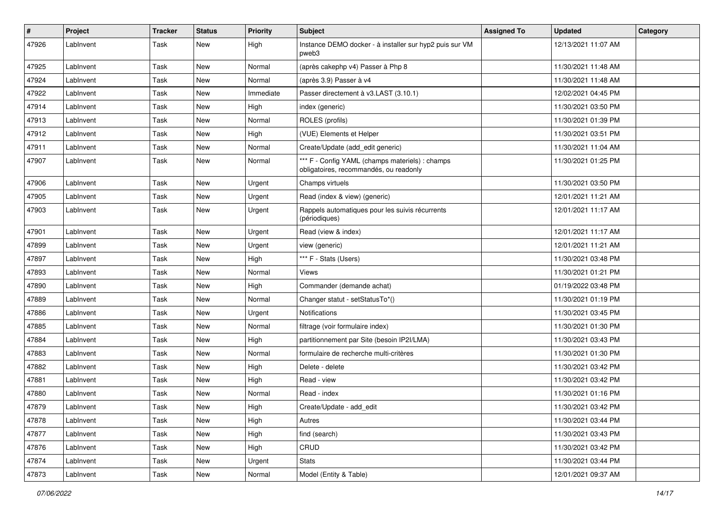| #     | Project   | <b>Tracker</b> | <b>Status</b> | <b>Priority</b> | Subject                                                                                   | <b>Assigned To</b> | <b>Updated</b>      | Category |
|-------|-----------|----------------|---------------|-----------------|-------------------------------------------------------------------------------------------|--------------------|---------------------|----------|
| 47926 | LabInvent | Task           | New           | High            | Instance DEMO docker - à installer sur hyp2 puis sur VM<br>pweb3                          |                    | 12/13/2021 11:07 AM |          |
| 47925 | LabInvent | Task           | <b>New</b>    | Normal          | (après cakephp v4) Passer à Php 8                                                         |                    | 11/30/2021 11:48 AM |          |
| 47924 | LabInvent | Task           | New           | Normal          | (après 3.9) Passer à v4                                                                   |                    | 11/30/2021 11:48 AM |          |
| 47922 | LabInvent | Task           | <b>New</b>    | Immediate       | Passer directement à v3.LAST (3.10.1)                                                     |                    | 12/02/2021 04:45 PM |          |
| 47914 | LabInvent | Task           | <b>New</b>    | High            | index (generic)                                                                           |                    | 11/30/2021 03:50 PM |          |
| 47913 | LabInvent | Task           | <b>New</b>    | Normal          | ROLES (profils)                                                                           |                    | 11/30/2021 01:39 PM |          |
| 47912 | LabInvent | Task           | New           | High            | (VUE) Elements et Helper                                                                  |                    | 11/30/2021 03:51 PM |          |
| 47911 | LabInvent | Task           | <b>New</b>    | Normal          | Create/Update (add_edit generic)                                                          |                    | 11/30/2021 11:04 AM |          |
| 47907 | LabInvent | Task           | New           | Normal          | *** F - Config YAML (champs materiels) : champs<br>obligatoires, recommandés, ou readonly |                    | 11/30/2021 01:25 PM |          |
| 47906 | LabInvent | Task           | <b>New</b>    | Urgent          | Champs virtuels                                                                           |                    | 11/30/2021 03:50 PM |          |
| 47905 | LabInvent | Task           | <b>New</b>    | Urgent          | Read (index & view) (generic)                                                             |                    | 12/01/2021 11:21 AM |          |
| 47903 | LabInvent | Task           | New           | Urgent          | Rappels automatiques pour les suivis récurrents<br>(périodiques)                          |                    | 12/01/2021 11:17 AM |          |
| 47901 | LabInvent | Task           | <b>New</b>    | Urgent          | Read (view & index)                                                                       |                    | 12/01/2021 11:17 AM |          |
| 47899 | LabInvent | Task           | New           | Urgent          | view (generic)                                                                            |                    | 12/01/2021 11:21 AM |          |
| 47897 | LabInvent | Task           | <b>New</b>    | High            | *** F - Stats (Users)                                                                     |                    | 11/30/2021 03:48 PM |          |
| 47893 | LabInvent | Task           | <b>New</b>    | Normal          | Views                                                                                     |                    | 11/30/2021 01:21 PM |          |
| 47890 | LabInvent | Task           | New           | High            | Commander (demande achat)                                                                 |                    | 01/19/2022 03:48 PM |          |
| 47889 | LabInvent | Task           | New           | Normal          | Changer statut - setStatusTo*()                                                           |                    | 11/30/2021 01:19 PM |          |
| 47886 | LabInvent | Task           | <b>New</b>    | Urgent          | Notifications                                                                             |                    | 11/30/2021 03:45 PM |          |
| 47885 | LabInvent | Task           | <b>New</b>    | Normal          | filtrage (voir formulaire index)                                                          |                    | 11/30/2021 01:30 PM |          |
| 47884 | LabInvent | Task           | <b>New</b>    | High            | partitionnement par Site (besoin IP2I/LMA)                                                |                    | 11/30/2021 03:43 PM |          |
| 47883 | LabInvent | Task           | <b>New</b>    | Normal          | formulaire de recherche multi-critères                                                    |                    | 11/30/2021 01:30 PM |          |
| 47882 | LabInvent | Task           | New           | High            | Delete - delete                                                                           |                    | 11/30/2021 03:42 PM |          |
| 47881 | LabInvent | Task           | New           | High            | Read - view                                                                               |                    | 11/30/2021 03:42 PM |          |
| 47880 | LabInvent | Task           | <b>New</b>    | Normal          | Read - index                                                                              |                    | 11/30/2021 01:16 PM |          |
| 47879 | LabInvent | Task           | New           | High            | Create/Update - add_edit                                                                  |                    | 11/30/2021 03:42 PM |          |
| 47878 | LabInvent | Task           | New           | High            | Autres                                                                                    |                    | 11/30/2021 03:44 PM |          |
| 47877 | LabInvent | Task           | New           | High            | find (search)                                                                             |                    | 11/30/2021 03:43 PM |          |
| 47876 | LabInvent | Task           | New           | High            | CRUD                                                                                      |                    | 11/30/2021 03:42 PM |          |
| 47874 | LabInvent | Task           | New           | Urgent          | Stats                                                                                     |                    | 11/30/2021 03:44 PM |          |
| 47873 | LabInvent | Task           | New           | Normal          | Model (Entity & Table)                                                                    |                    | 12/01/2021 09:37 AM |          |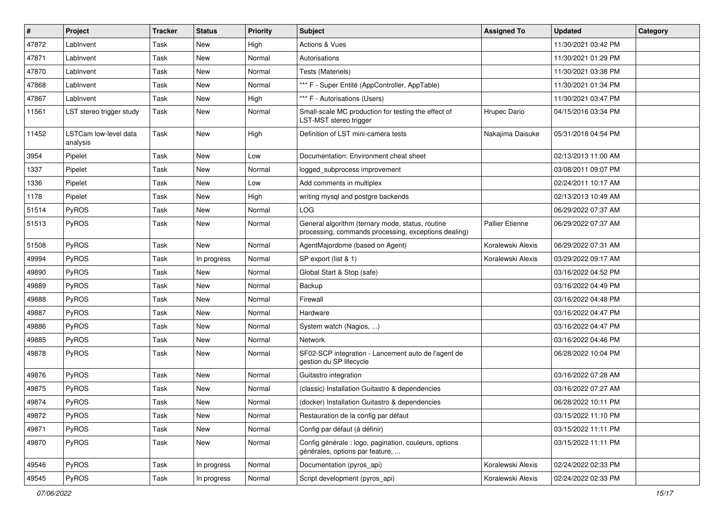| $\sharp$ | Project                           | <b>Tracker</b> | <b>Status</b> | <b>Priority</b> | <b>Subject</b>                                                                                           | <b>Assigned To</b>     | <b>Updated</b>      | Category |
|----------|-----------------------------------|----------------|---------------|-----------------|----------------------------------------------------------------------------------------------------------|------------------------|---------------------|----------|
| 47872    | LabInvent                         | Task           | <b>New</b>    | High            | <b>Actions &amp; Vues</b>                                                                                |                        | 11/30/2021 03:42 PM |          |
| 47871    | LabInvent                         | Task           | <b>New</b>    | Normal          | Autorisations                                                                                            |                        | 11/30/2021 01:29 PM |          |
| 47870    | LabInvent                         | Task           | <b>New</b>    | Normal          | Tests (Materiels)                                                                                        |                        | 11/30/2021 03:38 PM |          |
| 47868    | LabInvent                         | Task           | <b>New</b>    | Normal          | *** F - Super Entité (AppController, AppTable)                                                           |                        | 11/30/2021 01:34 PM |          |
| 47867    | LabInvent                         | Task           | <b>New</b>    | High            | *** F - Autorisations (Users)                                                                            |                        | 11/30/2021 03:47 PM |          |
| 11561    | LST stereo trigger study          | Task           | <b>New</b>    | Normal          | Small-scale MC production for testing the effect of<br>LST-MST stereo trigger                            | Hrupec Dario           | 04/15/2016 03:34 PM |          |
| 11452    | LSTCam low-level data<br>analysis | Task           | <b>New</b>    | High            | Definition of LST mini-camera tests                                                                      | Nakajima Daisuke       | 05/31/2018 04:54 PM |          |
| 3954     | Pipelet                           | Task           | <b>New</b>    | Low             | Documentation: Environment cheat sheet                                                                   |                        | 02/13/2013 11:00 AM |          |
| 1337     | Pipelet                           | Task           | <b>New</b>    | Normal          | logged_subprocess improvement                                                                            |                        | 03/08/2011 09:07 PM |          |
| 1336     | Pipelet                           | Task           | <b>New</b>    | Low             | Add comments in multiplex                                                                                |                        | 02/24/2011 10:17 AM |          |
| 1178     | Pipelet                           | Task           | <b>New</b>    | High            | writing mysql and postgre backends                                                                       |                        | 02/13/2013 10:49 AM |          |
| 51514    | PyROS                             | Task           | <b>New</b>    | Normal          | <b>LOG</b>                                                                                               |                        | 06/29/2022 07:37 AM |          |
| 51513    | PyROS                             | Task           | New           | Normal          | General algorithm (ternary mode, status, routine<br>processing, commands processing, exceptions dealing) | <b>Pallier Etienne</b> | 06/29/2022 07:37 AM |          |
| 51508    | PyROS                             | Task           | <b>New</b>    | Normal          | AgentMajordome (based on Agent)                                                                          | Koralewski Alexis      | 06/29/2022 07:31 AM |          |
| 49994    | PyROS                             | Task           | In progress   | Normal          | SP export (list & 1)                                                                                     | Koralewski Alexis      | 03/29/2022 09:17 AM |          |
| 49890    | <b>PyROS</b>                      | Task           | <b>New</b>    | Normal          | Global Start & Stop (safe)                                                                               |                        | 03/16/2022 04:52 PM |          |
| 49889    | PyROS                             | Task           | <b>New</b>    | Normal          | Backup                                                                                                   |                        | 03/16/2022 04:49 PM |          |
| 49888    | PyROS                             | Task           | <b>New</b>    | Normal          | Firewall                                                                                                 |                        | 03/16/2022 04:48 PM |          |
| 49887    | PyROS                             | Task           | <b>New</b>    | Normal          | Hardware                                                                                                 |                        | 03/16/2022 04:47 PM |          |
| 49886    | PyROS                             | Task           | <b>New</b>    | Normal          | System watch (Nagios, )                                                                                  |                        | 03/16/2022 04:47 PM |          |
| 49885    | PyROS                             | Task           | <b>New</b>    | Normal          | Network                                                                                                  |                        | 03/16/2022 04:46 PM |          |
| 49878    | PyROS                             | Task           | <b>New</b>    | Normal          | SF02-SCP integration - Lancement auto de l'agent de<br>gestion du SP lifecycle                           |                        | 06/28/2022 10:04 PM |          |
| 49876    | PyROS                             | Task           | New           | Normal          | Guitastro integration                                                                                    |                        | 03/16/2022 07:28 AM |          |
| 49875    | PyROS                             | Task           | New           | Normal          | (classic) Installation Guitastro & dependencies                                                          |                        | 03/16/2022 07:27 AM |          |
| 49874    | PyROS                             | Task           | New           | Normal          | (docker) Installation Guitastro & dependencies                                                           |                        | 06/28/2022 10:11 PM |          |
| 49872    | PyROS                             | Task           | New           | Normal          | Restauration de la config par défaut                                                                     |                        | 03/15/2022 11:10 PM |          |
| 49871    | PyROS                             | Task           | New           | Normal          | Config par défaut (à définir)                                                                            |                        | 03/15/2022 11:11 PM |          |
| 49870    | PyROS                             | Task           | New           | Normal          | Config générale : logo, pagination, couleurs, options<br>générales, options par feature,                 |                        | 03/15/2022 11:11 PM |          |
| 49546    | PyROS                             | Task           | In progress   | Normal          | Documentation (pyros_api)                                                                                | Koralewski Alexis      | 02/24/2022 02:33 PM |          |
| 49545    | PyROS                             | Task           | In progress   | Normal          | Script development (pyros_api)                                                                           | Koralewski Alexis      | 02/24/2022 02:33 PM |          |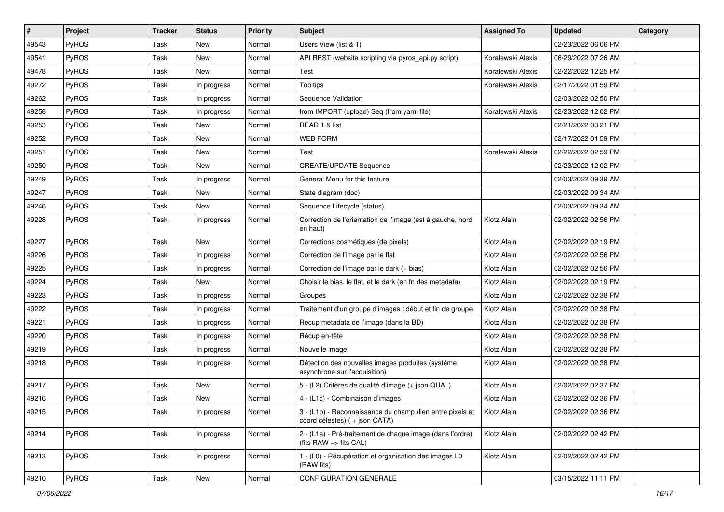| #     | Project | Tracker | <b>Status</b> | <b>Priority</b> | <b>Subject</b>                                                                                    | <b>Assigned To</b> | <b>Updated</b>      | Category |
|-------|---------|---------|---------------|-----------------|---------------------------------------------------------------------------------------------------|--------------------|---------------------|----------|
| 49543 | PyROS   | Task    | <b>New</b>    | Normal          | Users View (list & 1)                                                                             |                    | 02/23/2022 06:06 PM |          |
| 49541 | PyROS   | Task    | <b>New</b>    | Normal          | API REST (website scripting via pyros_api.py script)                                              | Koralewski Alexis  | 06/29/2022 07:26 AM |          |
| 49478 | PyROS   | Task    | New           | Normal          | Test                                                                                              | Koralewski Alexis  | 02/22/2022 12:25 PM |          |
| 49272 | PyROS   | Task    | In progress   | Normal          | <b>Tooltips</b>                                                                                   | Koralewski Alexis  | 02/17/2022 01:59 PM |          |
| 49262 | PyROS   | Task    | In progress   | Normal          | Sequence Validation                                                                               |                    | 02/03/2022 02:50 PM |          |
| 49258 | PyROS   | Task    | In progress   | Normal          | from IMPORT (upload) Seq (from yaml file)                                                         | Koralewski Alexis  | 02/23/2022 12:02 PM |          |
| 49253 | PyROS   | Task    | <b>New</b>    | Normal          | READ 1 & list                                                                                     |                    | 02/21/2022 03:21 PM |          |
| 49252 | PyROS   | Task    | <b>New</b>    | Normal          | WEB FORM                                                                                          |                    | 02/17/2022 01:59 PM |          |
| 49251 | PyROS   | Task    | <b>New</b>    | Normal          | Test                                                                                              | Koralewski Alexis  | 02/22/2022 02:59 PM |          |
| 49250 | PyROS   | Task    | <b>New</b>    | Normal          | <b>CREATE/UPDATE Sequence</b>                                                                     |                    | 02/23/2022 12:02 PM |          |
| 49249 | PyROS   | Task    | In progress   | Normal          | General Menu for this feature                                                                     |                    | 02/03/2022 09:39 AM |          |
| 49247 | PyROS   | Task    | <b>New</b>    | Normal          | State diagram (doc)                                                                               |                    | 02/03/2022 09:34 AM |          |
| 49246 | PyROS   | Task    | New           | Normal          | Sequence Lifecycle (status)                                                                       |                    | 02/03/2022 09:34 AM |          |
| 49228 | PyROS   | Task    | In progress   | Normal          | Correction de l'orientation de l'image (est à gauche, nord<br>en haut)                            | Klotz Alain        | 02/02/2022 02:56 PM |          |
| 49227 | PyROS   | Task    | <b>New</b>    | Normal          | Corrections cosmétiques (de pixels)                                                               | Klotz Alain        | 02/02/2022 02:19 PM |          |
| 49226 | PyROS   | Task    | In progress   | Normal          | Correction de l'image par le flat                                                                 | Klotz Alain        | 02/02/2022 02:56 PM |          |
| 49225 | PyROS   | Task    | In progress   | Normal          | Correction de l'image par le dark (+ bias)                                                        | Klotz Alain        | 02/02/2022 02:56 PM |          |
| 49224 | PyROS   | Task    | New           | Normal          | Choisir le bias, le flat, et le dark (en fn des metadata)                                         | Klotz Alain        | 02/02/2022 02:19 PM |          |
| 49223 | PyROS   | Task    | In progress   | Normal          | Groupes                                                                                           | Klotz Alain        | 02/02/2022 02:38 PM |          |
| 49222 | PyROS   | Task    | In progress   | Normal          | Traitement d'un groupe d'images : début et fin de groupe                                          | Klotz Alain        | 02/02/2022 02:38 PM |          |
| 49221 | PyROS   | Task    | In progress   | Normal          | Recup metadata de l'image (dans la BD)                                                            | Klotz Alain        | 02/02/2022 02:38 PM |          |
| 49220 | PyROS   | Task    | In progress   | Normal          | Récup en-tête                                                                                     | Klotz Alain        | 02/02/2022 02:38 PM |          |
| 49219 | PyROS   | Task    | In progress   | Normal          | Nouvelle image                                                                                    | Klotz Alain        | 02/02/2022 02:38 PM |          |
| 49218 | PyROS   | Task    | In progress   | Normal          | Détection des nouvelles images produites (système<br>asynchrone sur l'acquisition)                | Klotz Alain        | 02/02/2022 02:38 PM |          |
| 49217 | PyROS   | Task    | New           | Normal          | 5 - (L2) Critères de qualité d'image (+ json QUAL)                                                | Klotz Alain        | 02/02/2022 02:37 PM |          |
| 49216 | PyROS   | Task    | <b>New</b>    | Normal          | 4 - (L1c) - Combinaison d'images                                                                  | Klotz Alain        | 02/02/2022 02:36 PM |          |
| 49215 | PyROS   | Task    | In progress   | Normal          | 3 - (L1b) - Reconnaissance du champ (lien entre pixels et<br>coord célestes) (+ json CATA)        | Klotz Alain        | 02/02/2022 02:36 PM |          |
| 49214 | PyROS   | Task    | In progress   | Normal          | 2 - (L1a) - Pré-traitement de chaque image (dans l'ordre)<br>(fits $RAW \Rightarrow$ fits $CAL$ ) | Klotz Alain        | 02/02/2022 02:42 PM |          |
| 49213 | PyROS   | Task    | In progress   | Normal          | 1 - (L0) - Récupération et organisation des images L0<br>(RAW fits)                               | Klotz Alain        | 02/02/2022 02:42 PM |          |
| 49210 | PyROS   | Task    | New           | Normal          | CONFIGURATION GENERALE                                                                            |                    | 03/15/2022 11:11 PM |          |